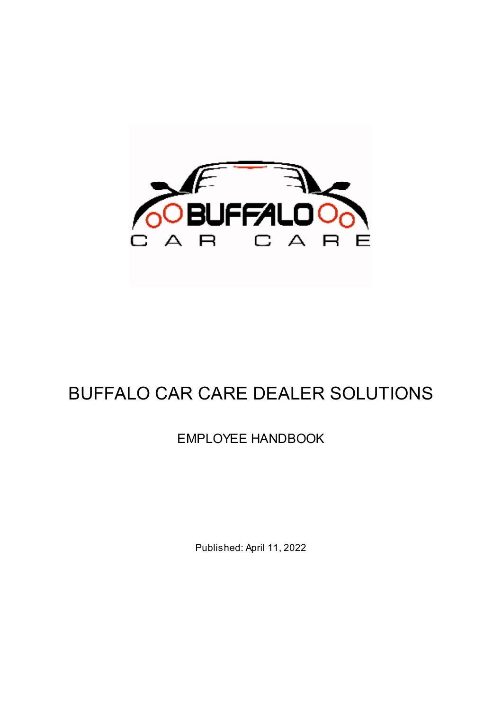

# BUFFALO CAR CARE DEALER SOLUTIONS

## EMPLOYEE HANDBOOK

Published: April 11, 2022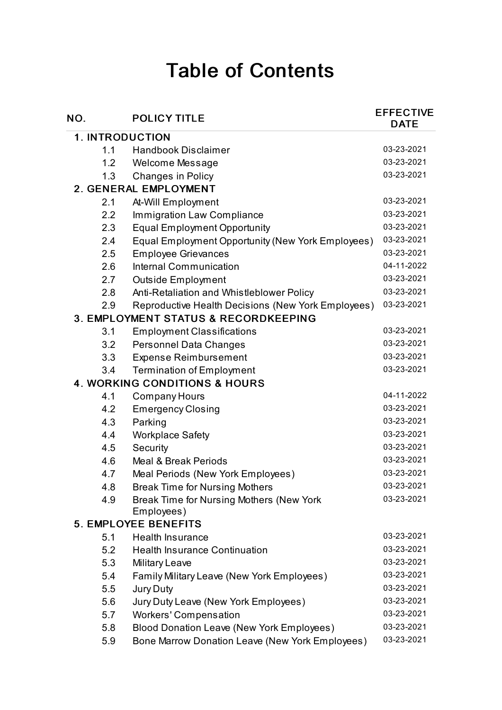# Table of Contents

| NO.                                             | <b>POLICY TITLE</b>                                    | <b>EFFECTIVE</b><br><b>DATE</b> |  |  |
|-------------------------------------------------|--------------------------------------------------------|---------------------------------|--|--|
| <b>1. INTRODUCTION</b>                          |                                                        |                                 |  |  |
| 1.1                                             | <b>Handbook Disclaimer</b>                             | 03-23-2021                      |  |  |
| 1.2                                             | Welcome Message                                        | 03-23-2021                      |  |  |
| 1.3                                             | <b>Changes in Policy</b>                               | 03-23-2021                      |  |  |
| 2. GENERAL EMPLOYMENT                           |                                                        |                                 |  |  |
| 2.1                                             | At-Will Employment                                     | 03-23-2021                      |  |  |
| 2.2                                             | <b>Immigration Law Compliance</b>                      | 03-23-2021                      |  |  |
| 2.3                                             | <b>Equal Employment Opportunity</b>                    | 03-23-2021                      |  |  |
| 2.4                                             | Equal Employment Opportunity (New York Employees)      | 03-23-2021                      |  |  |
| 2.5                                             | <b>Employee Grievances</b>                             | 03-23-2021                      |  |  |
| 2.6                                             | <b>Internal Communication</b>                          | 04-11-2022                      |  |  |
| 2.7                                             | Outside Employment                                     | 03-23-2021                      |  |  |
| 2.8                                             | Anti-Retaliation and Whistleblower Policy              | 03-23-2021                      |  |  |
| 2.9                                             | Reproductive Health Decisions (New York Employees)     | 03-23-2021                      |  |  |
| <b>3. EMPLOYMENT STATUS &amp; RECORDKEEPING</b> |                                                        |                                 |  |  |
| 3.1                                             | <b>Employment Classifications</b>                      | 03-23-2021                      |  |  |
| 3.2                                             | <b>Personnel Data Changes</b>                          | 03-23-2021                      |  |  |
| 3.3                                             | <b>Expense Reimbursement</b>                           | 03-23-2021                      |  |  |
| 3.4                                             | <b>Termination of Employment</b>                       | 03-23-2021                      |  |  |
| <b>4. WORKING CONDITIONS &amp; HOURS</b>        |                                                        |                                 |  |  |
| 4.1                                             | Company Hours                                          | 04-11-2022                      |  |  |
| 4.2                                             | <b>Emergency Closing</b>                               | 03-23-2021                      |  |  |
| 4.3                                             | Parking                                                | 03-23-2021                      |  |  |
| 4.4                                             | <b>Workplace Safety</b>                                | 03-23-2021                      |  |  |
| 4.5                                             | Security                                               | 03-23-2021                      |  |  |
| 4.6                                             | <b>Meal &amp; Break Periods</b>                        | 03-23-2021                      |  |  |
| 4.7                                             | Meal Periods (New York Employees)                      | 03-23-2021                      |  |  |
| 4.8                                             | <b>Break Time for Nursing Mothers</b>                  | 03-23-2021                      |  |  |
| 4.9                                             | Break Time for Nursing Mothers (New York<br>Employees) | 03-23-2021                      |  |  |
|                                                 | <b>5. EMPLOYEE BENEFITS</b>                            |                                 |  |  |
| 5.1                                             | <b>Health Insurance</b>                                | 03-23-2021                      |  |  |
| 5.2                                             | <b>Health Insurance Continuation</b>                   | 03-23-2021                      |  |  |
| 5.3                                             | <b>Military Leave</b>                                  | 03-23-2021                      |  |  |
| 5.4                                             | Family Military Leave (New York Employees)             | 03-23-2021                      |  |  |
| 5.5                                             | Jury Duty                                              | 03-23-2021                      |  |  |
| 5.6                                             | Jury Duty Leave (New York Employees)                   | 03-23-2021                      |  |  |
| 5.7                                             | <b>Workers' Compensation</b>                           | 03-23-2021                      |  |  |
| 5.8                                             | Blood Donation Leave (New York Employees)              | 03-23-2021                      |  |  |
| 5.9                                             | Bone Marrow Donation Leave (New York Employees)        | 03-23-2021                      |  |  |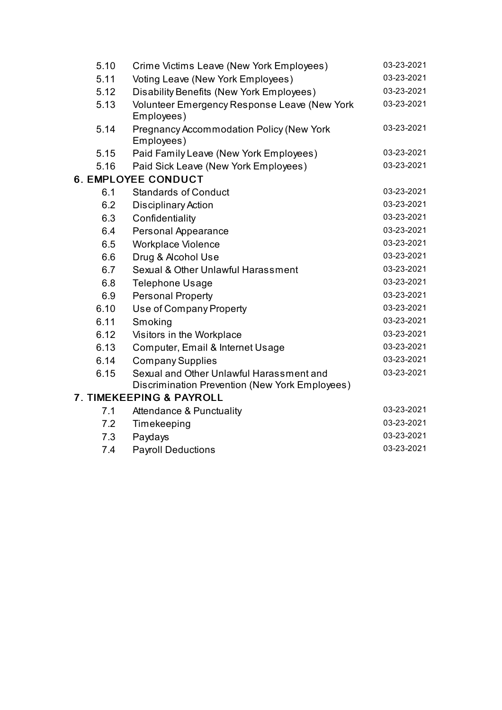| 5.10 | Crime Victims Leave (New York Employees)                                                   | 03-23-2021 |
|------|--------------------------------------------------------------------------------------------|------------|
| 5.11 | Voting Leave (New York Employees)                                                          | 03-23-2021 |
| 5.12 | Disability Benefits (New York Employees)                                                   | 03-23-2021 |
| 5.13 | Volunteer Emergency Response Leave (New York<br>Employees)                                 | 03-23-2021 |
| 5.14 | <b>Pregnancy Accommodation Policy (New York</b><br>Employees)                              | 03-23-2021 |
| 5.15 | Paid Family Leave (New York Employees)                                                     | 03-23-2021 |
| 5.16 | Paid Sick Leave (New York Employees)                                                       | 03-23-2021 |
|      | <b>6. EMPLOYEE CONDUCT</b>                                                                 |            |
| 6.1  | <b>Standards of Conduct</b>                                                                | 03-23-2021 |
| 6.2  | <b>Disciplinary Action</b>                                                                 | 03-23-2021 |
| 6.3  | Confidentiality                                                                            | 03-23-2021 |
| 6.4  | Personal Appearance                                                                        | 03-23-2021 |
| 6.5  | <b>Workplace Violence</b>                                                                  | 03-23-2021 |
| 6.6  | Drug & Alcohol Use                                                                         | 03-23-2021 |
| 6.7  | Sexual & Other Unlawful Harassment                                                         | 03-23-2021 |
| 6.8  | <b>Telephone Usage</b>                                                                     | 03-23-2021 |
| 6.9  | <b>Personal Property</b>                                                                   | 03-23-2021 |
| 6.10 | Use of Company Property                                                                    | 03-23-2021 |
| 6.11 | Smoking                                                                                    | 03-23-2021 |
| 6.12 | Visitors in the Workplace                                                                  | 03-23-2021 |
| 6.13 | Computer, Email & Internet Usage                                                           | 03-23-2021 |
| 6.14 | <b>Company Supplies</b>                                                                    | 03-23-2021 |
| 6.15 | Sexual and Other Unlawful Harassment and<br>Discrimination Prevention (New York Employees) | 03-23-2021 |
|      | <b>7. TIMEKEEPING &amp; PAYROLL</b>                                                        |            |
| 7.1  | <b>Attendance &amp; Punctuality</b>                                                        | 03-23-2021 |
| 7.2  | Timekeeping                                                                                | 03-23-2021 |
| 7.3  | Paydays                                                                                    | 03-23-2021 |
| 7.4  | <b>Payroll Deductions</b>                                                                  | 03-23-2021 |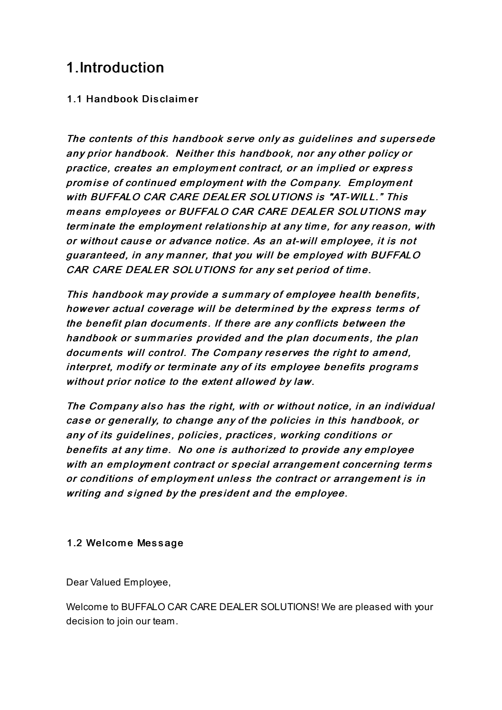## 1.Introduction

## 1.1 Handbook Disclaim er

The contents of this handbook serve only as guidelines and supersede any prior handbook. Neither this handbook, nor any other policy or practice, creates an employment contract, or an implied or express prom is <sup>e</sup> of continued em ploym ent with the Com pany. Em ploym ent with BUFFALO CAR CARE DEALER SOLUTIONS is "AT-WILL." This means employees or BUFFALO CAR CARE DEALER SOLUTIONS may term inate the em ploym ent relations hip at any tim e, for any reas on, with or without cause or advance notice. As an at-will employee, it is not guaranteed, in any manner, that you will be employed with BUFFALO CAR CARE DEALER SOLUTIONS for any set period of time.

This handbook may provide a summary of employee health benefits, however actual coverage will be determined by the express terms of the benefit plan documents. If there are any conflicts between the handbook or summaries provided and the plan documents, the plan documents will control. The Company reserves the right to amend, interpret, modify or terminate any of its employee benefits programs without prior notice to the extent allowed by law.

The Company also has the right, with or without notice, in an individual case or generally, to change any of the policies in this handbook, or any of its guidelines, policies, practices, working conditions or benefits at any time. No one is authorized to provide any employee with an employment contract or special arrangement concerning terms or conditions of employment unless the contract or arrangement is in writing and signed by the president and the employee.

#### 1.2 Welcome Message

Dear Valued Employee,

Welcome to BUFFALO CAR CARE DEALER SOLUTIONS! We are pleased with your decision to join our team.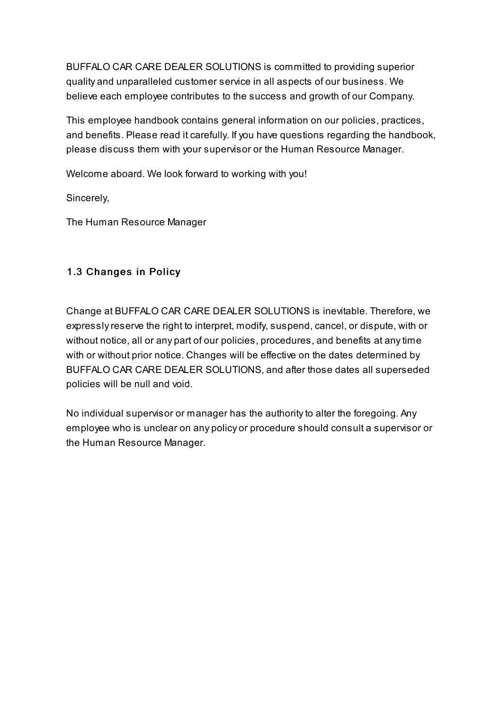BUFFALO CAR CARE DEALER SOLUTIONS is committed to providing superior quality and unparalleled customer service in all aspects of our business. We believe each employee contributes to the success and growth of our Company.

This employee handbook contains general information on our policies, practices, and benefits. Please read it carefully. If you have questions regarding the handbook, please discuss them with your supervisor or the Human Resource Manager.

Welcome aboard. We look forward to working with you!

Sincerely,

The Human Resource Manager

## 1.3 Changes in Policy

Change at BUFFALO CAR CARE DEALER SOLUTIONS is inevitable. Therefore, we expresslyreserve the right to interpret, modify, suspend, cancel, or dispute, with or without notice, all or any part of our policies, procedures, and benefits at anytime with or without prior notice. Changes will be effective on the dates determined by BUFFALO CAR CARE DEALER SOLUTIONS, and after those dates all superseded policies will be null and void.

No individual supervisor or manager has the authorityto alter the foregoing. Any employee who is unclear on any policy or procedure should consult a supervisor or the Human Resource Manager.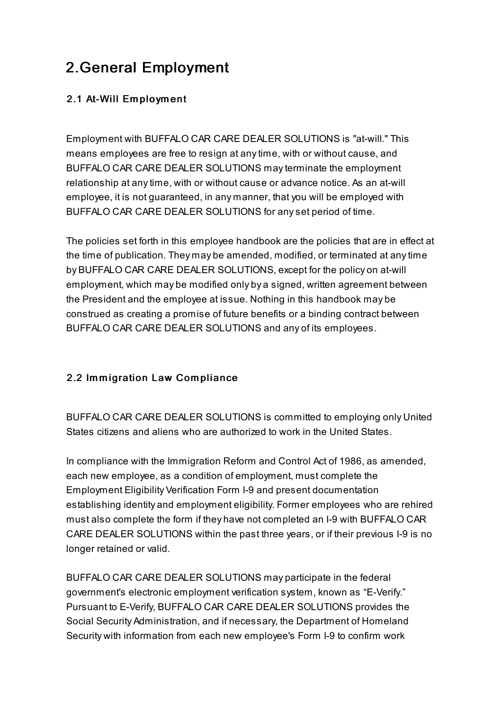## 2.General Employment

## 2.1 At-Will Employment

Employment with BUFFALO CAR CARE DEALER SOLUTIONS is "at-will." This means employees are free to resign at anytime, with or without cause, and BUFFALO CAR CARE DEALER SOLUTIONS mayterminate the employment relationship at anytime, with or without cause or advance notice. As an at-will employee, it is not guaranteed, in any manner, that you will be employed with BUFFALO CAR CARE DEALER SOLUTIONS for anyset period of time.

The policies set forth in this employee handbook are the policies that are in effect at the time of publication. They may be amended, modified, or terminated at anytime by BUFFALO CAR CARE DEALER SOLUTIONS, except for the policy on at-will employment, which may be modified only by a signed, written agreement between the President and the employee at issue. Nothing in this handbook may be construed as creating a promise of future benefits or a binding contract between BUFFALO CAR CARE DEALER SOLUTIONS and any of its employees.

## 2.2 Immigration Law Compliance

BUFFALO CAR CARE DEALER SOLUTIONS is committed to employing only United States citizens and aliens who are authorized to work in the United States.

In compliance with the Immigration Reform and Control Act of 1986, as amended, each new employee, as a condition of employment, must complete the Employment Eligibility Verification Form I-9 and present documentation establishing identity and employment eligibility. Former employees who are rehired must also complete the form if they have not completed an I-9 with BUFFALO CAR CARE DEALER SOLUTIONS within the past three years, or if their previous I-9 is no longer retained or valid.

BUFFALO CAR CARE DEALER SOLUTIONS may participate in the federal government's electronic employment verification system, known as "E-Verify." Pursuant to E-Verify, BUFFALO CAR CARE DEALER SOLUTIONS provides the Social Security Administration, and if necessary, the Department of Homeland Security with information from each new employee's Form I-9 to confirm work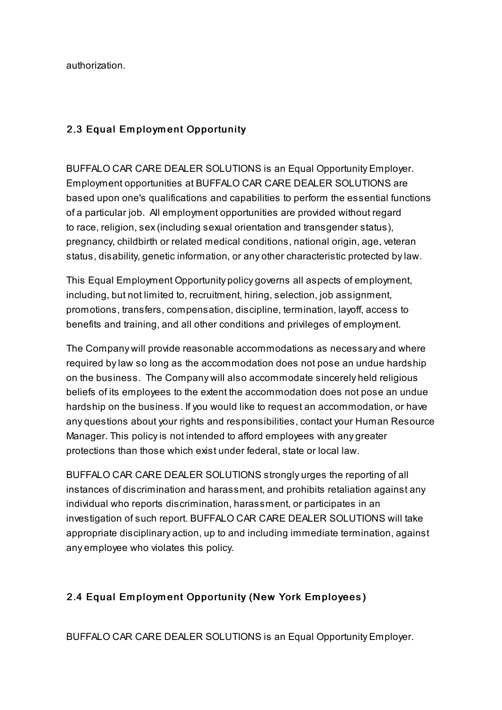authorization.

#### 2.3 Equal Em ploym ent Opportunity

BUFFALO CAR CARE DEALER SOLUTIONS is an Equal Opportunity Employer. Employment opportunities at BUFFALO CAR CARE DEALER SOLUTIONS are based upon one's qualifications and capabilities to perform the essential functions of a particular job. All employment opportunities are provided without regard to race, religion, sex(including sexual orientation and transgender status), pregnancy, childbirth or related medical conditions, national origin, age, veteran status, disability, genetic information, or any other characteristic protected bylaw.

This Equal Employment Opportunity policy governs all aspects of employment, including, but not limited to, recruitment, hiring, selection, job assignment, promotions, transfers, compensation, discipline, termination, layoff, access to benefits and training, and all other conditions and privileges of employment.

The Company will provide reasonable accommodations as necessary and where required bylaw so long as the accommodation does not pose an undue hardship on the business. The Company will also accommodate sincerely held religious beliefs of its employees to the extent the accommodation does not pose an undue hardship on the business. If you would like to request an accommodation, or have any questions about your rights and responsibilities, contact your Human Resource Manager. This policyis not intended to afford employees with any greater protections than those which exist under federal, state or local law.

BUFFALO CAR CARE DEALER SOLUTIONS strongly urges the reporting of all instances of discrimination and harassment, and prohibits retaliation against any individual who reports discrimination, harassment, or participates in an investigation of such report. BUFFALO CAR CARE DEALER SOLUTIONS will take appropriate disciplinary action, up to and including immediate termination, against any employee who violates this policy.

## 2.4 Equal Em ploym ent Opportunity (New York Em ployees)

BUFFALO CAR CARE DEALER SOLUTIONS is an Equal Opportunity Employer.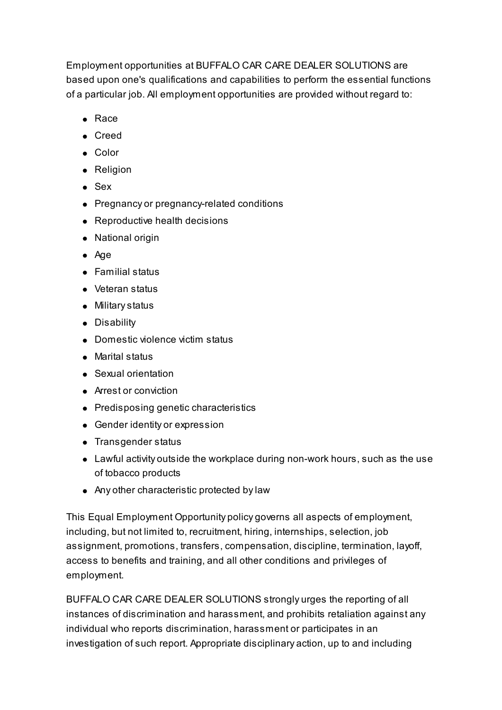Employment opportunities at BUFFALO CAR CARE DEALER SOLUTIONS are based upon one's qualifications and capabilities to perform the essential functions of a particular job. All employment opportunities are provided without regard to:

- $\bullet$  Race
- Creed
- Color
- Religion
- Sex
- Pregnancy or pregnancy-related conditions
- Reproductive health decisions
- National origin
- Age
- Familial status
- Veteran status
- Militarystatus
- Disability
- Domestic violence victim status
- Marital status
- Sexual orientation
- Arrest or conviction
- Predisposing genetic characteristics
- Gender identity or expression
- Transgender status
- Lawful activity outside the workplace during non-work hours, such as the use of tobacco products
- Any other characteristic protected bylaw

This Equal Employment Opportunity policy governs all aspects of employment, including, but not limited to, recruitment, hiring, internships, selection, job assignment, promotions, transfers, compensation, discipline, termination, layoff, access to benefits and training, and all other conditions and privileges of employment.

BUFFALO CAR CARE DEALER SOLUTIONS strongly urges the reporting of all instances of discrimination and harassment, and prohibits retaliation against any individual who reports discrimination, harassment or participates in an investigation of such report. Appropriate disciplinary action, up to and including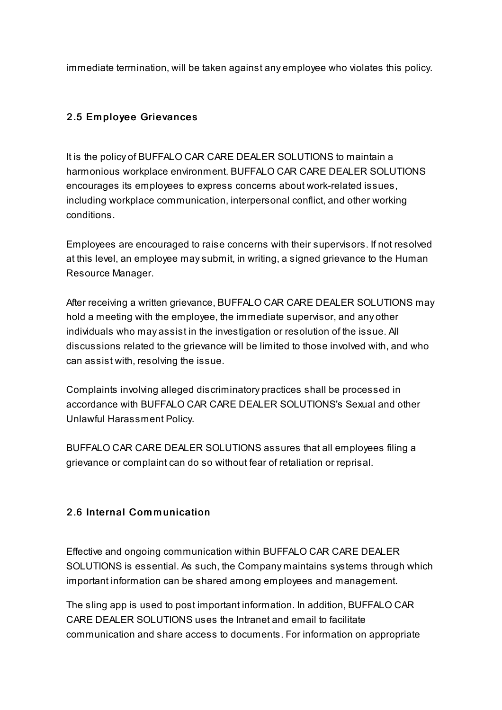immediate termination, will be taken against any employee who violates this policy.

## 2.5 Em ployee Grievances

It is the policy of BUFFALO CAR CARE DEALER SOLUTIONS to maintain a harmonious workplace environment. BUFFALO CAR CARE DEALER SOLUTIONS encourages its employees to express concerns about work-related issues, including workplace communication, interpersonal conflict, and other working conditions.

Employees are encouraged to raise concerns with their supervisors. If not resolved at this level, an employee maysubmit, in writing, a signed grievance to the Human Resource Manager.

After receiving a written grievance, BUFFALO CAR CARE DEALER SOLUTIONS may hold a meeting with the employee, the immediate supervisor, and any other individuals who may assist in the investigation or resolution of the issue. All discussions related to the grievance will be limited to those involved with, and who can assist with, resolving the issue.

Complaints involving alleged discriminatory practices shall be processed in accordance with BUFFALO CAR CARE DEALER SOLUTIONS's Sexual and other Unlawful Harassment Policy.

BUFFALO CAR CARE DEALER SOLUTIONS assures that all employees filing a grievance or complaint can do so without fear of retaliation or reprisal.

#### 2.6 Internal Communication

Effective and ongoing communication within BUFFALO CAR CARE DEALER SOLUTIONS is essential. As such, the Company maintains systems through which important information can be shared among employees and management.

The sling app is used to post important information. In addition, BUFFALO CAR CARE DEALER SOLUTIONS uses the Intranet and email to facilitate communication and share access to documents. For information on appropriate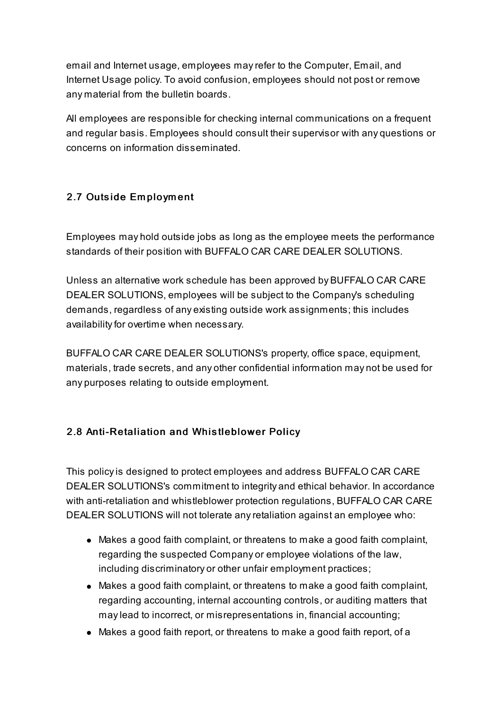email and Internet usage, employees mayrefer to the Computer, Email, and Internet Usage policy. To avoid confusion, employees should not post or remove any material from the bulletin boards.

All employees are responsible for checking internal communications on a frequent and regular basis. Employees should consult their supervisor with any questions or concerns on information disseminated.

## 2.7 Outside Em ploym ent

Employees may hold outside jobs as long as the employee meets the performance standards of their position with BUFFALO CAR CARE DEALER SOLUTIONS.

Unless an alternative work schedule has been approved by BUFFALO CAR CARE DEALER SOLUTIONS, employees will be subject to the Company's scheduling demands, regardless of any existing outside work assignments; this includes availabilityfor overtime when necessary.

BUFFALO CAR CARE DEALER SOLUTIONS's property, office space, equipment, materials, trade secrets, and any other confidential information may not be used for any purposes relating to outside employment.

## 2.8 Anti-Retaliation and Whistleblower Policy

This policyis designed to protect employees and address BUFFALO CAR CARE DEALER SOLUTIONS's commitment to integrity and ethical behavior. In accordance with anti-retaliation and whistleblower protection regulations, BUFFALO CAR CARE DEALER SOLUTIONS will not tolerate anyretaliation against an employee who:

- Makes a good faith complaint, or threatens to make a good faith complaint, regarding the suspected Company or employee violations of the law, including discriminatory or other unfair employment practices;
- Makes a good faith complaint, or threatens to make a good faith complaint, regarding accounting, internal accounting controls, or auditing matters that maylead to incorrect, or misrepresentations in, financial accounting;
- Makes a good faith report, or threatens to make a good faith report, of a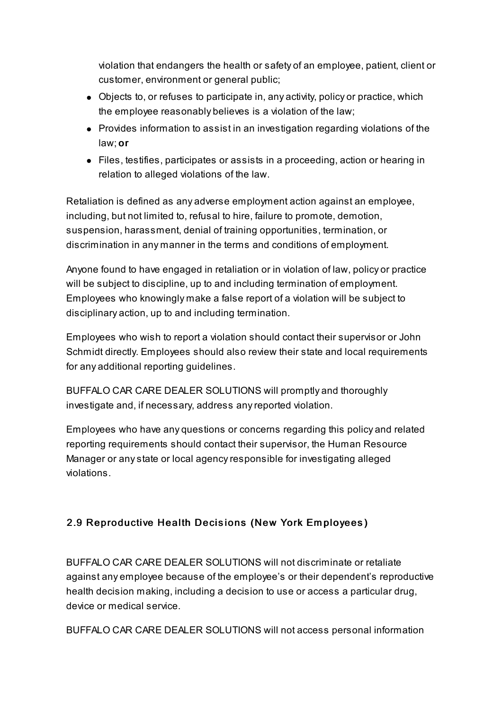violation that endangers the health or safety of an employee, patient, client or customer, environment or general public;

- Objects to, or refuses to participate in, any activity, policy or practice, which the employee reasonably believes is a violation of the law;
- Provides information to assist in an investigation regarding violations of the law; or
- Files, testifies, participates or assists in a proceeding, action or hearing in relation to alleged violations of the law.

Retaliation is defined as any adverse employment action against an employee, including, but not limited to, refusal to hire, failure to promote, demotion, suspension, harassment, denial of training opportunities, termination, or discrimination in any manner in the terms and conditions of employment.

Anyone found to have engaged in retaliation or in violation of law, policy or practice will be subject to discipline, up to and including termination of employment. Employees who knowingly make a false report of a violation will be subject to disciplinary action, up to and including termination.

Employees who wish to report a violation should contact their supervisor or John Schmidt directly. Employees should also review their state and local requirements for any additional reporting guidelines.

BUFFALO CAR CARE DEALER SOLUTIONS will promptly and thoroughly investigate and, if necessary, address anyreported violation.

Employees who have any questions or concerns regarding this policy and related reporting requirements should contact their supervisor, the Human Resource Manager or anystate or local agencyresponsible for investigating alleged violations.

## 2.9 Reproductive Health Decisions (New York Em ployees)

BUFFALO CAR CARE DEALER SOLUTIONS will not discriminate or retaliate against any employee because of the employee's or their dependent's reproductive health decision making, including a decision to use or access a particular drug, device or medical service.

BUFFALO CAR CARE DEALER SOLUTIONS will not access personal information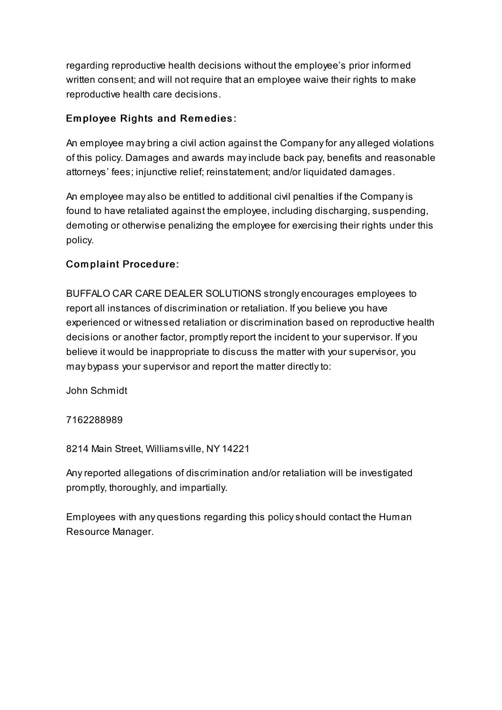regarding reproductive health decisions without the employee's prior informed written consent; and will not require that an employee waive their rights to make reproductive health care decisions.

## Em ployee Rights and Rem edies:

An employee may bring a civil action against the Companyfor any alleged violations of this policy. Damages and awards mayinclude back pay, benefits and reasonable attorneys' fees; injunctive relief; reinstatement; and/or liquidated damages.

An employee may also be entitled to additional civil penalties if the Companyis found to have retaliated against the employee, including discharging, suspending, demoting or otherwise penalizing the employee for exercising their rights under this policy.

## Com plaint Procedure:

BUFFALO CAR CARE DEALER SOLUTIONS strongly encourages employees to report all instances of discrimination or retaliation. If you believe you have experienced or witnessed retaliation or discrimination based on reproductive health decisions or another factor, promptlyreport the incident to your supervisor. If you believe it would be inappropriate to discuss the matter with your supervisor, you may bypass your supervisor and report the matter directlyto:

John Schmidt

7162288989

8214 Main Street, Williamsville, NY 14221

Anyreported allegations of discrimination and/or retaliation will be investigated promptly, thoroughly, and impartially.

Employees with any questions regarding this policyshould contact the Human Resource Manager.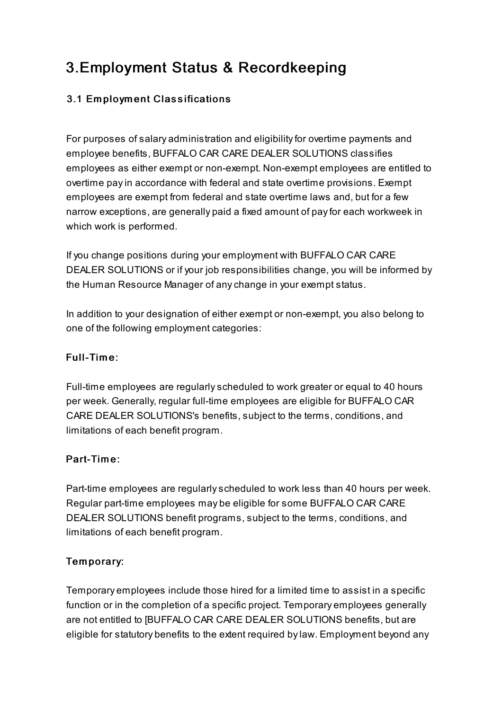## 3.Employment Status & Recordkeeping

## 3.1 Em ploym ent Classifications

For purposes of salary administration and eligibilityfor overtime payments and employee benefits, BUFFALO CAR CARE DEALER SOLUTIONS classifies employees as either exempt or non-exempt. Non-exempt employees are entitled to overtime payin accordance with federal and state overtime provisions. Exempt employees are exempt from federal and state overtime laws and, but for a few narrow exceptions, are generally paid a fixed amount of payfor each workweek in which work is performed.

If you change positions during your employment with BUFFALO CAR CARE DEALER SOLUTIONS or if your job responsibilities change, you will be informed by the Human Resource Manager of anychange in your exempt status.

In addition to your designation of either exempt or non-exempt, you also belong to one of the following employment categories:

#### Full-Time:

Full-time employees are regularlyscheduled to work greater or equal to 40 hours per week. Generally, regular full-time employees are eligible for BUFFALO CAR CARE DEALER SOLUTIONS's benefits, subject to the terms, conditions, and limitations of each benefit program.

#### Part-Tim e:

Part-time employees are regularlyscheduled to work less than 40 hours per week. Regular part-time employees may be eligible for some BUFFALO CAR CARE DEALER SOLUTIONS benefit programs, subject to the terms, conditions, and limitations of each benefit program.

## Tem porary:

Temporary employees include those hired for a limited time to assist in a specific function or in the completion of a specific project. Temporary employees generally are not entitled to [BUFFALO CAR CARE DEALER SOLUTIONS benefits, but are eligible for statutory benefits to the extent required bylaw. Employment beyond any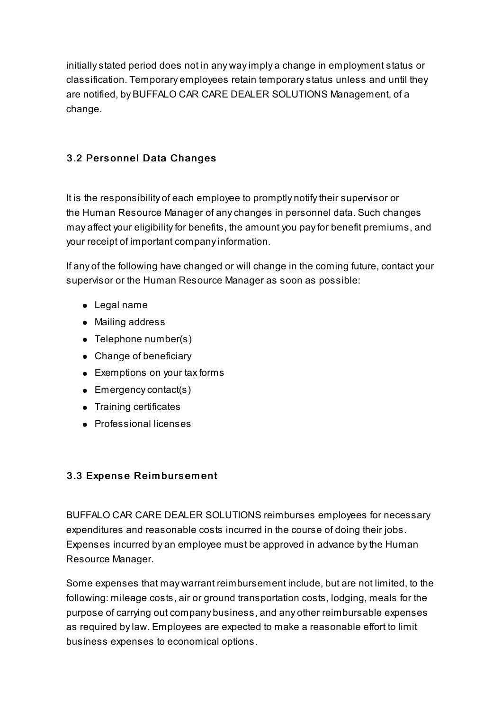initiallystated period does not in any wayimply a change in employment status or classification. Temporary employees retain temporarystatus unless and until they are notified, by BUFFALO CAR CARE DEALER SOLUTIONS Management, of a change.

## 3.2 Pers onnel Data Changes

It is the responsibility of each employee to promptly notifytheir supervisor or the Human Resource Manager of anychanges in personnel data. Such changes may affect your eligibilityfor benefits, the amount you payfor benefit premiums, and your receipt of important companyinformation.

If any of the following have changed or will change in the coming future, contact your supervisor or the Human Resource Manager as soon as possible:

- Legal name
- Mailing address
- Telephone number(s)
- Change of beneficiary
- Exemptions on your tax forms
- Emergency contact(s)
- Training certificates
- **•** Professional licenses

#### 3.3 Expense Reimbursement

BUFFALO CAR CARE DEALER SOLUTIONS reimburses employees for necessary expenditures and reasonable costs incurred in the course of doing their jobs. Expenses incurred by an employee must be approved in advance bythe Human Resource Manager.

Some expenses that may warrant reimbursement include, but are not limited, to the following: mileage costs, air or ground transportation costs, lodging, meals for the purpose of carrying out company business, and any other reimbursable expenses as required bylaw. Employees are expected to make a reasonable effort to limit business expenses to economical options.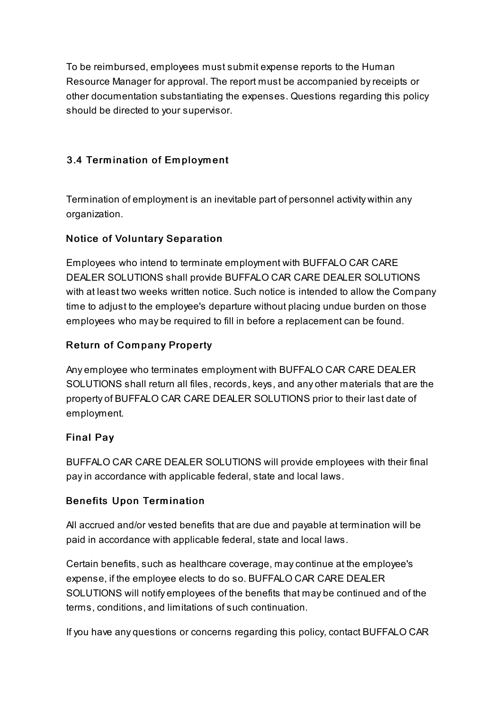To be reimbursed, employees must submit expense reports to the Human Resource Manager for approval. The report must be accompanied byreceipts or other documentation substantiating the expenses. Questions regarding this policy should be directed to your supervisor.

## 3.4 Term ination of Em ploym ent

Termination of employment is an inevitable part of personnel activity within any organization.

## Notice of Voluntary Separation

Employees who intend to terminate employment with BUFFALO CAR CARE DEALER SOLUTIONS shall provide BUFFALO CAR CARE DEALER SOLUTIONS with at least two weeks written notice. Such notice is intended to allow the Company time to adjust to the employee's departure without placing undue burden on those employees who may be required to fill in before a replacement can be found.

## Return of Com pany Property

Any employee who terminates employment with BUFFALO CAR CARE DEALER SOLUTIONS shall return all files, records, keys, and any other materials that are the property of BUFFALO CAR CARE DEALER SOLUTIONS prior to their last date of employment.

#### Final Pay

BUFFALO CAR CARE DEALER SOLUTIONS will provide employees with their final payin accordance with applicable federal, state and local laws.

#### Benefits Upon Term ination

All accrued and/or vested benefits that are due and payable at termination will be paid in accordance with applicable federal, state and local laws.

Certain benefits, such as healthcare coverage, maycontinue at the employee's expense, if the employee elects to do so. BUFFALO CAR CARE DEALER SOLUTIONS will notify employees of the benefits that may be continued and of the terms, conditions, and limitations of such continuation.

If you have any questions or concerns regarding this policy, contact BUFFALO CAR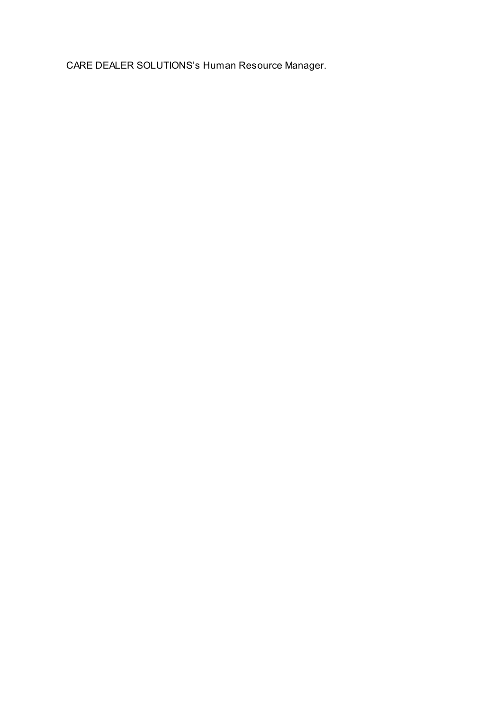CARE DEALER SOLUTIONS's Human Resource Manager.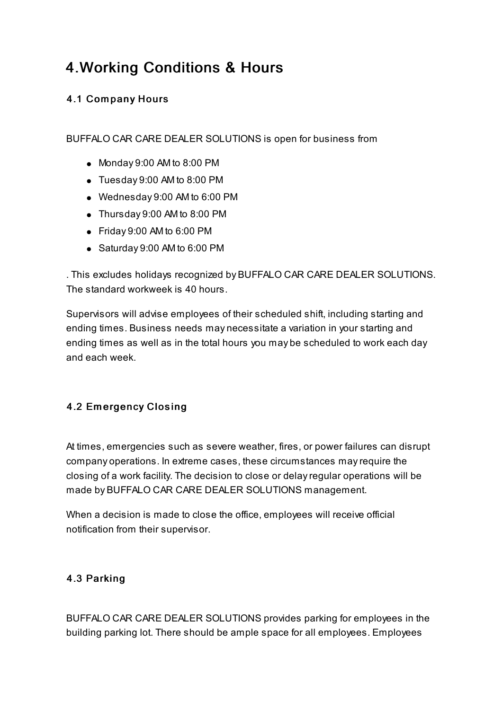## 4.Working Conditions & Hours

## 4.1 Com pany Hours

BUFFALO CAR CARE DEALER SOLUTIONS is open for business from

- Monday 9:00 AM to 8:00 PM
- Tuesday 9:00 AM to 8:00 PM
- Wednesday 9:00 AM to 6:00 PM
- Thursday 9:00 AM to 8:00 PM
- Friday 9:00 AM to 6:00 PM
- Saturday 9:00 AM to 6:00 PM

. This excludes holidays recognized by BUFFALO CAR CARE DEALER SOLUTIONS. The standard workweek is 40 hours.

Supervisors will advise employees of their scheduled shift, including starting and ending times. Business needs may necessitate a variation in your starting and ending times as well as in the total hours you may be scheduled to work each day and each week.

## 4.2 Em ergency Closing

At times, emergencies such as severe weather, fires, or power failures can disrupt company operations. In extreme cases, these circumstances mayrequire the closing of a work facility. The decision to close or delayregular operations will be made by BUFFALO CAR CARE DEALER SOLUTIONS management.

When a decision is made to close the office, employees will receive official notification from their supervisor.

#### 4.3 Parking

BUFFALO CAR CARE DEALER SOLUTIONS provides parking for employees in the building parking lot. There should be ample space for all employees. Employees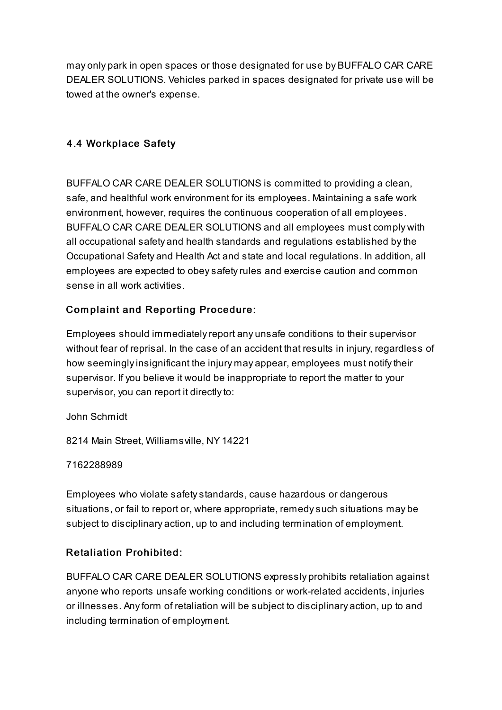may only park in open spaces or those designated for use by BUFFALO CAR CARE DEALER SOLUTIONS. Vehicles parked in spaces designated for private use will be towed at the owner's expense.

## 4.4 Workplace Safety

BUFFALO CAR CARE DEALER SOLUTIONS is committed to providing a clean, safe, and healthful work environment for its employees. Maintaining a safe work environment, however, requires the continuous cooperation of all employees. BUFFALO CAR CARE DEALER SOLUTIONS and all employees must comply with all occupational safety and health standards and regulations established bythe Occupational Safety and Health Act and state and local regulations. In addition, all employees are expected to obeysafetyrules and exercise caution and common sense in all work activities.

## Com plaint and Reporting Procedure:

Employees should immediatelyreport any unsafe conditions to their supervisor without fear of reprisal. In the case of an accident that results in injury, regardless of how seemingly insignificant the injury may appear, employees must notify their supervisor. If you believe it would be inappropriate to report the matter to your supervisor, you can report it directly to:

John Schmidt

8214 Main Street, Williamsville, NY 14221

7162288989

Employees who violate safetystandards, cause hazardous or dangerous situations, or fail to report or, where appropriate, remedysuch situations may be subject to disciplinary action, up to and including termination of employment.

#### Retaliation Prohibited:

BUFFALO CAR CARE DEALER SOLUTIONS expressly prohibits retaliation against anyone who reports unsafe working conditions or work-related accidents, injuries or illnesses. Anyform of retaliation will be subject to disciplinary action, up to and including termination of employment.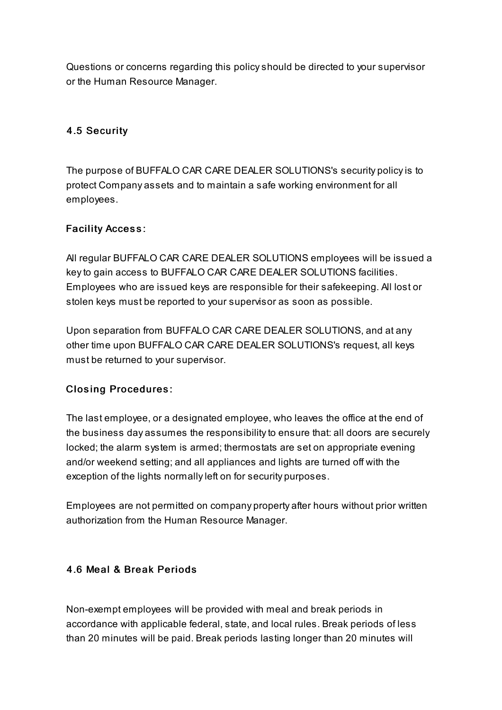Questions or concerns regarding this policyshould be directed to your supervisor or the Human Resource Manager.

## 4.5 Security

The purpose of BUFFALO CAR CARE DEALER SOLUTIONS's security policyis to protect Company assets and to maintain a safe working environment for all employees.

## **Facility Access:**

All regular BUFFALO CAR CARE DEALER SOLUTIONS employees will be issued a keyto gain access to BUFFALO CAR CARE DEALER SOLUTIONS facilities. Employees who are issued keys are responsible for their safekeeping. All lost or stolen keys must be reported to your supervisor as soon as possible.

Upon separation from BUFFALO CAR CARE DEALER SOLUTIONS, and at any other time upon BUFFALO CAR CARE DEALER SOLUTIONS's request, all keys must be returned to your supervisor.

## Closing Procedures:

The last employee, or a designated employee, who leaves the office at the end of the business day assumes the responsibilityto ensure that: all doors are securely locked; the alarm system is armed; thermostats are set on appropriate evening and/or weekend setting; and all appliances and lights are turned off with the exception of the lights normally left on for security purposes.

Employees are not permitted on company property after hours without prior written authorization from the Human Resource Manager.

#### 4.6 Meal & Break Periods

Non-exempt employees will be provided with meal and break periods in accordance with applicable federal, state, and local rules. Break periods of less than 20 minutes will be paid. Break periods lasting longer than 20 minutes will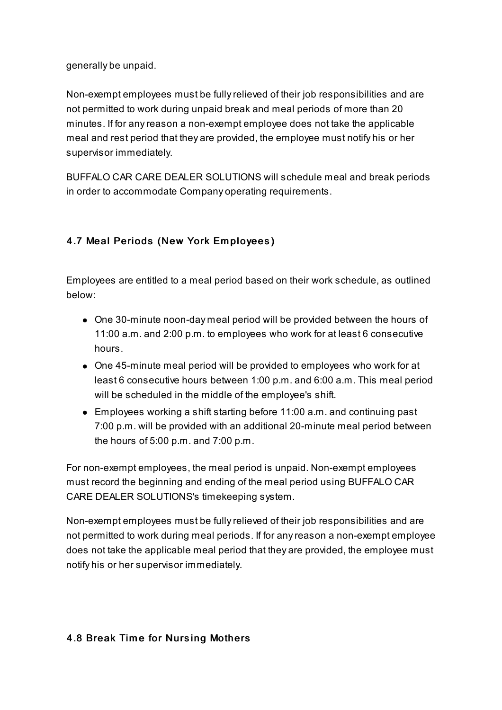generally be unpaid.

Non-exempt employees must be fullyrelieved of their job responsibilities and are not permitted to work during unpaid break and meal periods of more than 20 minutes. If for anyreason a non-exempt employee does not take the applicable meal and rest period that they are provided, the employee must notify his or her supervisor immediately.

BUFFALO CAR CARE DEALER SOLUTIONS will schedule meal and break periods in order to accommodate Company operating requirements.

## 4.7 Meal Periods (New York Em ployees)

Employees are entitled to a meal period based on their work schedule, as outlined below:

- One 30-minute noon-day meal period will be provided between the hours of 11:00 a.m. and 2:00 p.m. to employees who work for at least 6 consecutive hours.
- One 45-minute meal period will be provided to employees who work for at least 6 consecutive hours between 1:00 p.m. and 6:00 a.m. This meal period will be scheduled in the middle of the employee's shift.
- Employees working a shift starting before 11:00 a.m. and continuing past 7:00 p.m. will be provided with an additional 20-minute meal period between the hours of 5:00 p.m. and 7:00 p.m.

For non-exempt employees, the meal period is unpaid. Non-exempt employees must record the beginning and ending of the meal period using BUFFALO CAR CARE DEALER SOLUTIONS's timekeeping system.

Non-exempt employees must be fullyrelieved of their job responsibilities and are not permitted to work during meal periods. If for anyreason a non-exempt employee does not take the applicable meal period that they are provided, the employee must notify his or her supervisor immediately.

#### 4.8 Break Time for Nursing Mothers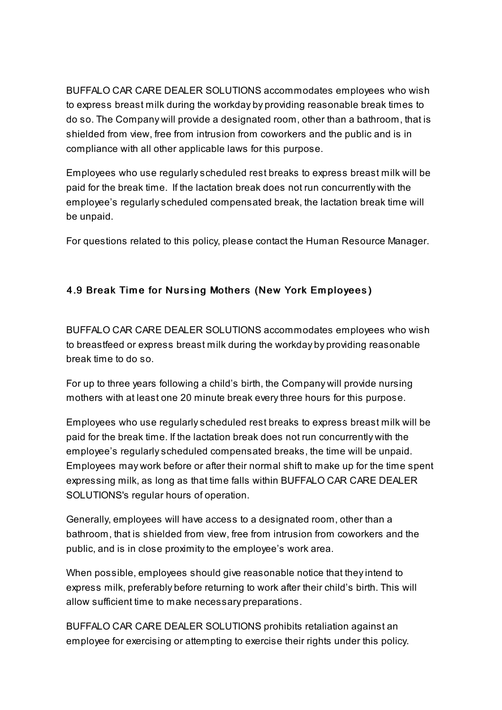BUFFALO CAR CARE DEALER SOLUTIONS accommodates employees who wish to express breast milk during the workday by providing reasonable break times to do so. The Company will provide a designated room, other than a bathroom, that is shielded from view, free from intrusion from coworkers and the public and is in compliance with all other applicable laws for this purpose.

Employees who use regularlyscheduled rest breaks to express breast milk will be paid for the break time. If the lactation break does not run concurrently with the employee's regularlyscheduled compensated break, the lactation break time will be unpaid.

For questions related to this policy, please contact the Human Resource Manager.

## 4.9 Break Time for Nursing Mothers (New York Employees)

BUFFALO CAR CARE DEALER SOLUTIONS accommodates employees who wish to breastfeed or express breast milk during the workday by providing reasonable break time to do so.

For up to three years following a child's birth, the Company will provide nursing mothers with at least one 20 minute break every three hours for this purpose.

Employees who use regularlyscheduled rest breaks to express breast milk will be paid for the break time. If the lactation break does not run concurrently with the employee's regularlyscheduled compensated breaks, the time will be unpaid. Employees may work before or after their normal shift to make up for the time spent expressing milk, as long as that time falls within BUFFALO CAR CARE DEALER SOLUTIONS's regular hours of operation.

Generally, employees will have access to a designated room, other than a bathroom, that is shielded from view, free from intrusion from coworkers and the public, and is in close proximity to the employee's work area.

When possible, employees should give reasonable notice that they intend to express milk, preferably before returning to work after their child's birth. This will allow sufficient time to make necessary preparations.

BUFFALO CAR CARE DEALER SOLUTIONS prohibits retaliation against an employee for exercising or attempting to exercise their rights under this policy.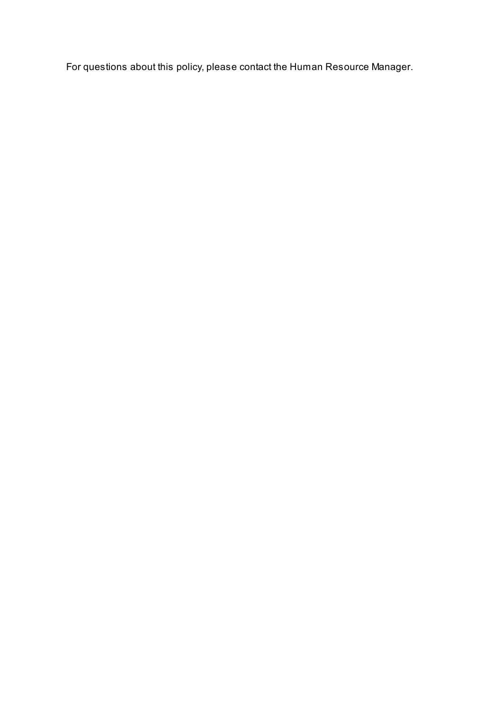For questions about this policy, please contact the Human Resource Manager.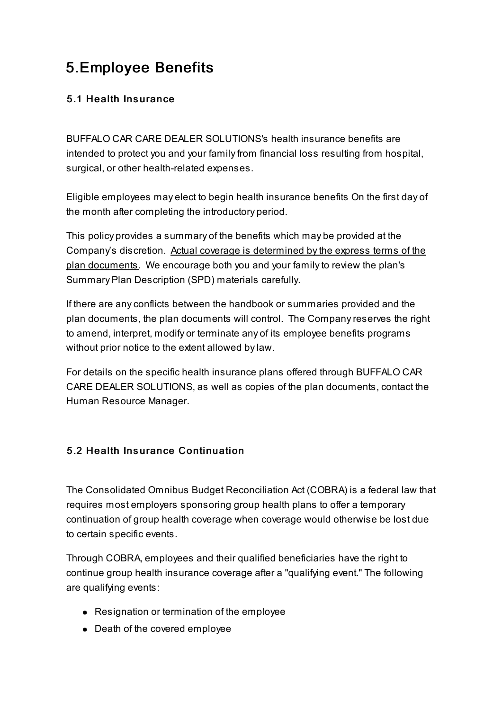## 5.Employee Benefits

## 5.1 Health Ins urance

BUFFALO CAR CARE DEALER SOLUTIONS's health insurance benefits are intended to protect you and your family from financial loss resulting from hospital, surgical, or other health-related expenses.

Eligible employees may elect to begin health insurance benefits On the first day of the month after completing the introductory period.

This policy provides a summary of the benefits which may be provided at the Company's discretion. Actual coverage is determined by the express terms of the plan documents. We encourage both you and your familyto review the plan's Summary Plan Description (SPD) materials carefully.

If there are anyconflicts between the handbook or summaries provided and the plan documents, the plan documents will control. The Companyreserves the right to amend, interpret, modify or terminate any of its employee benefits programs without prior notice to the extent allowed bylaw.

For details on the specific health insurance plans offered through BUFFALO CAR CARE DEALER SOLUTIONS, as well as copies of the plan documents, contact the Human Resource Manager.

## 5.2 Health Insurance Continuation

The Consolidated Omnibus Budget Reconciliation Act (COBRA) is a federal law that requires most employers sponsoring group health plans to offer a temporary continuation of group health coverage when coverage would otherwise be lost due to certain specific events.

Through COBRA, employees and their qualified beneficiaries have the right to continue group health insurance coverage after a "qualifying event." The following are qualifying events:

- Resignation or termination of the employee
- Death of the covered employee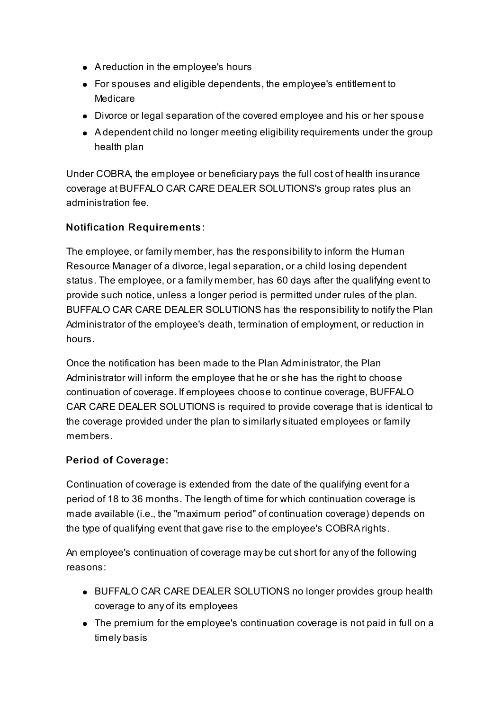- A reduction in the employee's hours
- For spouses and eligible dependents, the employee's entitlement to Medicare
- Divorce or legal separation of the covered employee and his or her spouse
- A dependent child no longer meeting eligibilityrequirements under the group health plan

Under COBRA, the employee or beneficiary pays the full cost of health insurance coverage at BUFFALO CAR CARE DEALER SOLUTIONS's group rates plus an administration fee.

## Notification Requirem ents:

The employee, or family member, has the responsibility to inform the Human Resource Manager of a divorce, legal separation, or a child losing dependent status. The employee, or a family member, has 60 days after the qualifying event to provide such notice, unless a longer period is permitted under rules of the plan. BUFFALO CAR CARE DEALER SOLUTIONS has the responsibilityto notifythe Plan Administrator of the employee's death, termination of employment, or reduction in hours.

Once the notification has been made to the Plan Administrator, the Plan Administrator will inform the employee that he or she has the right to choose continuation of coverage. If employees choose to continue coverage, BUFFALO CAR CARE DEALER SOLUTIONS is required to provide coverage that is identical to the coverage provided under the plan to similarlysituated employees or family members.

#### Period of Coverage:

Continuation of coverage is extended from the date of the qualifying event for a period of 18 to 36 months. The length of time for which continuation coverage is made available (i.e., the "maximum period" of continuation coverage) depends on the type of qualifying event that gave rise to the employee's COBRA rights.

An employee's continuation of coverage may be cut short for any of the following reasons:

- BUFFALO CAR CARE DEALER SOLUTIONS no longer provides group health coverage to any of its employees
- The premium for the employee's continuation coverage is not paid in full on a timely basis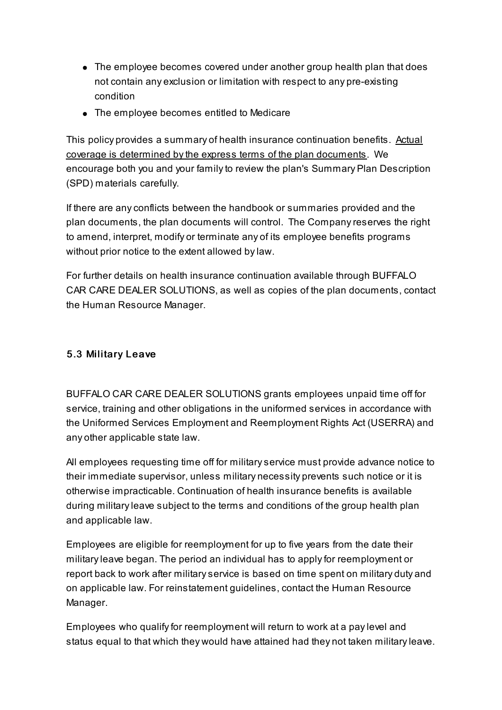- The employee becomes covered under another group health plan that does not contain any exclusion or limitation with respect to any pre-existing condition
- The employee becomes entitled to Medicare

This policy provides a summary of health insurance continuation benefits. Actual coverage is determined bythe express terms of the plan documents. We encourage both you and your familyto review the plan's Summary Plan Description (SPD) materials carefully.

If there are anyconflicts between the handbook or summaries provided and the plan documents, the plan documents will control. The Companyreserves the right to amend, interpret, modify or terminate any of its employee benefits programs without prior notice to the extent allowed bylaw.

For further details on health insurance continuation available through BUFFALO CAR CARE DEALER SOLUTIONS, as well as copies of the plan documents, contact the Human Resource Manager.

#### 5.3 Military Leave

BUFFALO CAR CARE DEALER SOLUTIONS grants employees unpaid time off for service, training and other obligations in the uniformed services in accordance with the Uniformed Services Employment and Reemployment Rights Act (USERRA) and any other applicable state law.

All employees requesting time off for militaryservice must provide advance notice to their immediate supervisor, unless military necessity prevents such notice or it is otherwise impracticable. Continuation of health insurance benefits is available during militaryleave subject to the terms and conditions of the group health plan and applicable law.

Employees are eligible for reemployment for up to five years from the date their militaryleave began. The period an individual has to applyfor reemployment or report back to work after militaryservice is based on time spent on military duty and on applicable law. For reinstatement guidelines, contact the Human Resource Manager.

Employees who qualifyfor reemployment will return to work at a paylevel and status equal to that which they would have attained had they not taken militaryleave.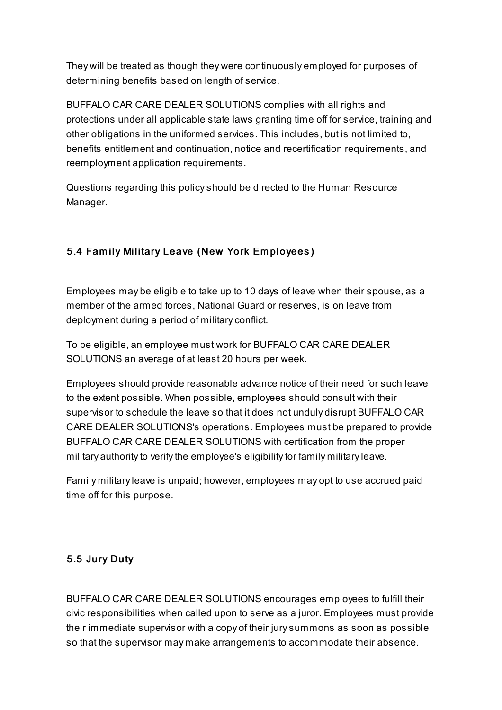They will be treated as though they were continuously employed for purposes of determining benefits based on length of service.

BUFFALO CAR CARE DEALER SOLUTIONS complies with all rights and protections under all applicable state laws granting time off for service, training and other obligations in the uniformed services. This includes, but is not limited to, benefits entitlement and continuation, notice and recertification requirements, and reemployment application requirements.

Questions regarding this policyshould be directed to the Human Resource Manager.

## 5.4 Family Military Leave (New York Employees)

Employees may be eligible to take up to 10 days of leave when their spouse, as a member of the armed forces, National Guard or reserves, is on leave from deployment during a period of militaryconflict.

To be eligible, an employee must work for BUFFALO CAR CARE DEALER SOLUTIONS an average of at least 20 hours per week.

Employees should provide reasonable advance notice of their need for such leave to the extent possible. When possible, employees should consult with their supervisor to schedule the leave so that it does not unduly disrupt BUFFALO CAR CARE DEALER SOLUTIONS's operations. Employees must be prepared to provide BUFFALO CAR CARE DEALER SOLUTIONS with certification from the proper military authority to verify the employee's eligibility for family military leave.

Family militaryleave is unpaid; however, employees may opt to use accrued paid time off for this purpose.

## 5.5 Jury Duty

BUFFALO CAR CARE DEALER SOLUTIONS encourages employees to fulfill their civic responsibilities when called upon to serve as a juror. Employees must provide their immediate supervisor with a copy of their jurysummons as soon as possible so that the supervisor may make arrangements to accommodate their absence.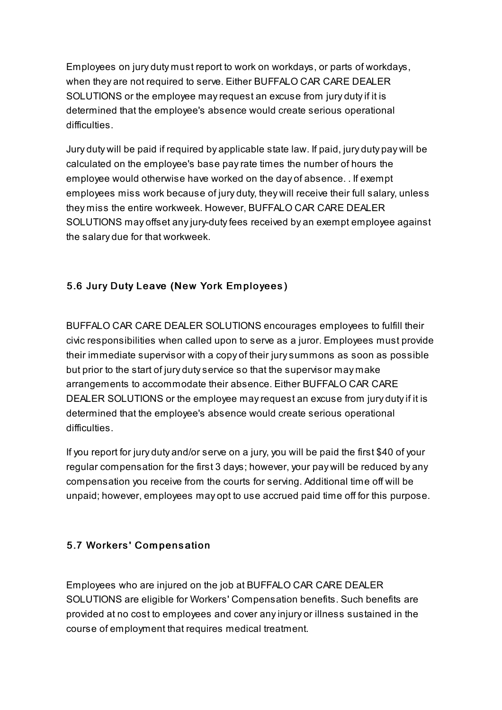Employees on jury duty must report to work on workdays, or parts of workdays, when they are not required to serve. Either BUFFALO CAR CARE DEALER SOLUTIONS or the employee may request an excuse from jury duty if it is determined that the employee's absence would create serious operational difficulties.

Jury duty will be paid if required by applicable state law. If paid, jury duty pay will be calculated on the employee's base payrate times the number of hours the employee would otherwise have worked on the day of absence. . If exempt employees miss work because of jury duty, they will receive their full salary, unless they miss the entire workweek. However, BUFFALO CAR CARE DEALER SOLUTIONS may offset anyjury-dutyfees received by an exempt employee against the salary due for that workweek.

## 5.6 Jury Duty Leave (New York Em ployees)

BUFFALO CAR CARE DEALER SOLUTIONS encourages employees to fulfill their civic responsibilities when called upon to serve as a juror. Employees must provide their immediate supervisor with a copy of their jurysummons as soon as possible but prior to the start of jury dutyservice so that the supervisor may make arrangements to accommodate their absence. Either BUFFALO CAR CARE DEALER SOLUTIONS or the employee may request an excuse from jury duty if it is determined that the employee's absence would create serious operational difficulties.

If you report for jury duty and/or serve on a jury, you will be paid the first \$40 of your regular compensation for the first 3 days; however, your pay will be reduced by any compensation you receive from the courts for serving. Additional time off will be unpaid; however, employees may opt to use accrued paid time off for this purpose.

## 5.7 Workers' Com pens ation

Employees who are injured on the job at BUFFALO CAR CARE DEALER SOLUTIONS are eligible for Workers' Compensation benefits. Such benefits are provided at no cost to employees and cover anyinjury or illness sustained in the course of employment that requires medical treatment.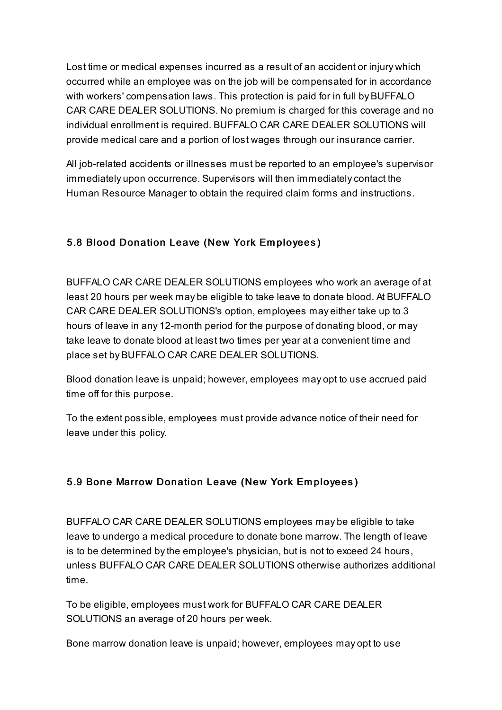Lost time or medical expenses incurred as a result of an accident or injury which occurred while an employee was on the job will be compensated for in accordance with workers' compensation laws. This protection is paid for in full by BUFFALO CAR CARE DEALER SOLUTIONS. No premium is charged for this coverage and no individual enrollment is required. BUFFALO CAR CARE DEALER SOLUTIONS will provide medical care and a portion of lost wages through our insurance carrier.

All job-related accidents or illnesses must be reported to an employee's supervisor immediately upon occurrence. Supervisors will then immediately contact the Human Resource Manager to obtain the required claim forms and instructions.

## 5.8 Blood Donation Leave (New York Em ployees)

BUFFALO CAR CARE DEALER SOLUTIONS employees who work an average of at least 20 hours per week may be eligible to take leave to donate blood. At BUFFALO CAR CARE DEALER SOLUTIONS's option, employees may either take up to 3 hours of leave in any 12-month period for the purpose of donating blood, or may take leave to donate blood at least two times per year at a convenient time and place set by BUFFALO CAR CARE DEALER SOLUTIONS.

Blood donation leave is unpaid; however, employees may opt to use accrued paid time off for this purpose.

To the extent possible, employees must provide advance notice of their need for leave under this policy.

#### 5.9 Bone Marrow Donation Leave (New York Em ployees)

BUFFALO CAR CARE DEALER SOLUTIONS employees may be eligible to take leave to undergo a medical procedure to donate bone marrow. The length of leave is to be determined bythe employee's physician, but is not to exceed 24 hours, unless BUFFALO CAR CARE DEALER SOLUTIONS otherwise authorizes additional time.

To be eligible, employees must work for BUFFALO CAR CARE DEALER SOLUTIONS an average of 20 hours per week.

Bone marrow donation leave is unpaid; however, employees may opt to use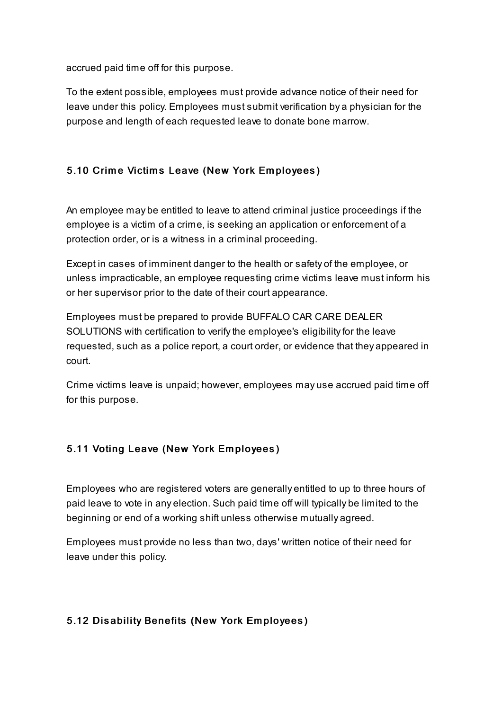accrued paid time off for this purpose.

To the extent possible, employees must provide advance notice of their need for leave under this policy. Employees must submit verification by a physician for the purpose and length of each requested leave to donate bone marrow.

## 5.10 Crime Victims Leave (New York Employees)

An employee may be entitled to leave to attend criminal justice proceedings if the employee is a victim of a crime, is seeking an application or enforcement of a protection order, or is a witness in a criminal proceeding.

Except in cases of imminent danger to the health or safety of the employee, or unless impracticable, an employee requesting crime victims leave must inform his or her supervisor prior to the date of their court appearance.

Employees must be prepared to provide BUFFALO CAR CARE DEALER SOLUTIONS with certification to verify the employee's eligibility for the leave requested, such as a police report, a court order, or evidence that they appeared in court.

Crime victims leave is unpaid; however, employees may use accrued paid time off for this purpose.

## 5.11 Voting Leave (New York Em ployees)

Employees who are registered voters are generally entitled to up to three hours of paid leave to vote in any election. Such paid time off will typically be limited to the beginning or end of a working shift unless otherwise mutually agreed.

Employees must provide no less than two, days' written notice of their need for leave under this policy.

#### 5.12 Disability Benefits (New York Employees)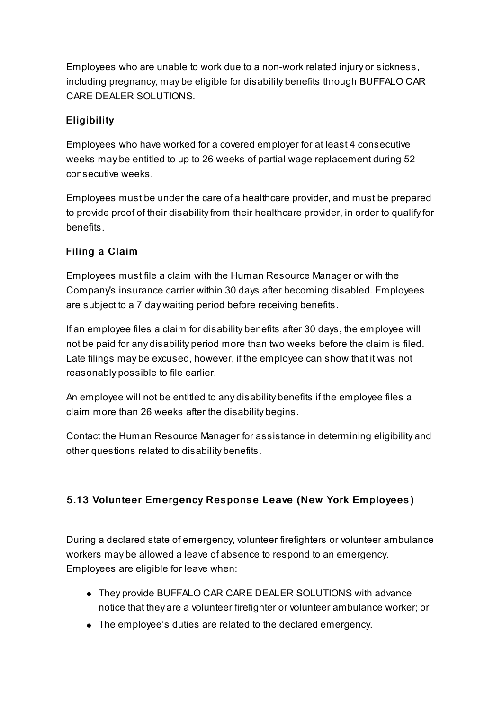Employees who are unable to work due to a non-work related injury or sickness, including pregnancy, may be eligible for disability benefits through BUFFALO CAR CARE DEALER SOLUTIONS.

## **Eligibility**

Employees who have worked for a covered employer for at least 4 consecutive weeks may be entitled to up to 26 weeks of partial wage replacement during 52 consecutive weeks.

Employees must be under the care of a healthcare provider, and must be prepared to provide proof of their disabilityfrom their healthcare provider, in order to qualifyfor benefits.

## Filing a Claim

Employees must file a claim with the Human Resource Manager or with the Company's insurance carrier within 30 days after becoming disabled. Employees are subject to a 7 day waiting period before receiving benefits.

If an employee files a claim for disability benefits after 30 days, the employee will not be paid for any disability period more than two weeks before the claim is filed. Late filings may be excused, however, if the employee can show that it was not reasonably possible to file earlier.

An employee will not be entitled to any disability benefits if the employee files a claim more than 26 weeks after the disability begins.

Contact the Human Resource Manager for assistance in determining eligibility and other questions related to disability benefits.

## 5.13 Volunteer Emergency Response Leave (New York Employees)

During a declared state of emergency, volunteer firefighters or volunteer ambulance workers may be allowed a leave of absence to respond to an emergency. Employees are eligible for leave when:

- They provide BUFFALO CAR CARE DEALER SOLUTIONS with advance notice that they are a volunteer firefighter or volunteer ambulance worker; or
- The employee's duties are related to the declared emergency.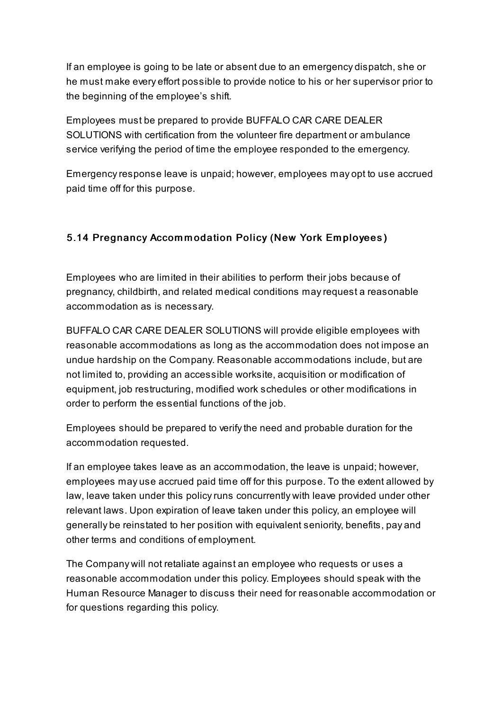If an employee is going to be late or absent due to an emergency dispatch, she or he must make every effort possible to provide notice to his or her supervisor prior to the beginning of the employee's shift.

Employees must be prepared to provide BUFFALO CAR CARE DEALER SOLUTIONS with certification from the volunteer fire department or ambulance service verifying the period of time the employee responded to the emergency.

Emergencyresponse leave is unpaid; however, employees may opt to use accrued paid time off for this purpose.

## 5.14 Pregnancy Accommodation Policy (New York Employees)

Employees who are limited in their abilities to perform their jobs because of pregnancy, childbirth, and related medical conditions mayrequest a reasonable accommodation as is necessary.

BUFFALO CAR CARE DEALER SOLUTIONS will provide eligible employees with reasonable accommodations as long as the accommodation does not impose an undue hardship on the Company. Reasonable accommodations include, but are not limited to, providing an accessible worksite, acquisition or modification of equipment, job restructuring, modified work schedules or other modifications in order to perform the essential functions of the job.

Employees should be prepared to verifythe need and probable duration for the accommodation requested.

If an employee takes leave as an accommodation, the leave is unpaid; however, employees may use accrued paid time off for this purpose. To the extent allowed by law, leave taken under this policyruns concurrently with leave provided under other relevant laws. Upon expiration of leave taken under this policy, an employee will generally be reinstated to her position with equivalent seniority, benefits, pay and other terms and conditions of employment.

The Company will not retaliate against an employee who requests or uses a reasonable accommodation under this policy. Employees should speak with the Human Resource Manager to discuss their need for reasonable accommodation or for questions regarding this policy.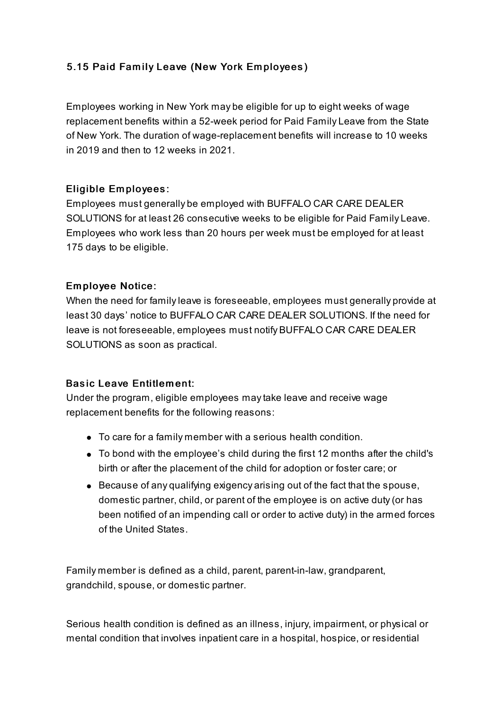## 5.15 Paid Family Leave (New York Employees)

Employees working in New York may be eligible for up to eight weeks of wage replacement benefits within a 52-week period for Paid Family Leave from the State of New York. The duration of wage-replacement benefits will increase to 10 weeks in 2019 and then to 12 weeks in 2021.

#### Eligible Employees:

Employees must generally be employed with BUFFALO CAR CARE DEALER SOLUTIONS for at least 26 consecutive weeks to be eligible for Paid Family Leave. Employees who work less than 20 hours per week must be employed for at least 175 days to be eligible.

#### Em ployee Notice:

When the need for familyleave is foreseeable, employees must generally provide at least 30 days' notice to BUFFALO CAR CARE DEALER SOLUTIONS. If the need for leave is not foreseeable, employees must notify BUFFALO CAR CARE DEALER SOLUTIONS as soon as practical.

#### Basic Leave Entitlement:

Under the program, eligible employees maytake leave and receive wage replacement benefits for the following reasons:

- To care for a family member with a serious health condition.
- To bond with the employee's child during the first 12 months after the child's birth or after the placement of the child for adoption or foster care; or
- $\bullet$  Because of any qualifying exigency arising out of the fact that the spouse, domestic partner, child, or parent of the employee is on active duty(or has been notified of an impending call or order to active duty) in the armed forces of the United States.

Family member is defined as a child, parent, parent-in-law, grandparent, grandchild, spouse, or domestic partner.

Serious health condition is defined as an illness, injury, impairment, or physical or mental condition that involves inpatient care in a hospital, hospice, or residential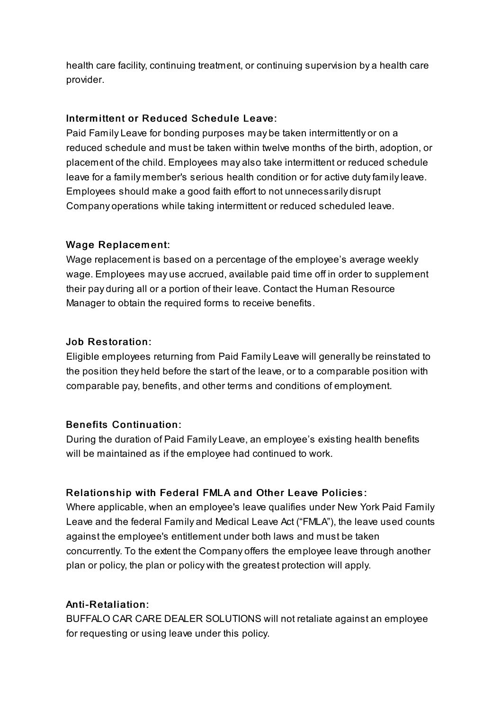health care facility, continuing treatment, or continuing supervision by a health care provider.

#### Intermittent or Reduced Schedule Leave:

Paid Family Leave for bonding purposes may be taken intermittently or on a reduced schedule and must be taken within twelve months of the birth, adoption, or placement of the child. Employees may also take intermittent or reduced schedule leave for a family member's serious health condition or for active duty family leave. Employees should make a good faith effort to not unnecessarily disrupt Company operations while taking intermittent or reduced scheduled leave.

#### Wage Replacement:

Wage replacement is based on a percentage of the employee's average weekly wage. Employees may use accrued, available paid time off in order to supplement their pay during all or a portion of their leave. Contact the Human Resource Manager to obtain the required forms to receive benefits.

#### Job Restoration:

Eligible employees returning from Paid Family Leave will generally be reinstated to the position they held before the start of the leave, or to a comparable position with comparable pay, benefits, and other terms and conditions of employment.

#### Benefits Continuation:

During the duration of Paid Family Leave, an employee's existing health benefits will be maintained as if the employee had continued to work.

#### Relationship with Federal FMLA and Other Leave Policies:

Where applicable, when an employee's leave qualifies under New York Paid Family Leave and the federal Family and Medical Leave Act ("FMLA"), the leave used counts against the employee's entitlement under both laws and must be taken concurrently. To the extent the Company offers the employee leave through another plan or policy, the plan or policy with the greatest protection will apply.

#### Anti-Retaliation:

BUFFALO CAR CARE DEALER SOLUTIONS will not retaliate against an employee for requesting or using leave under this policy.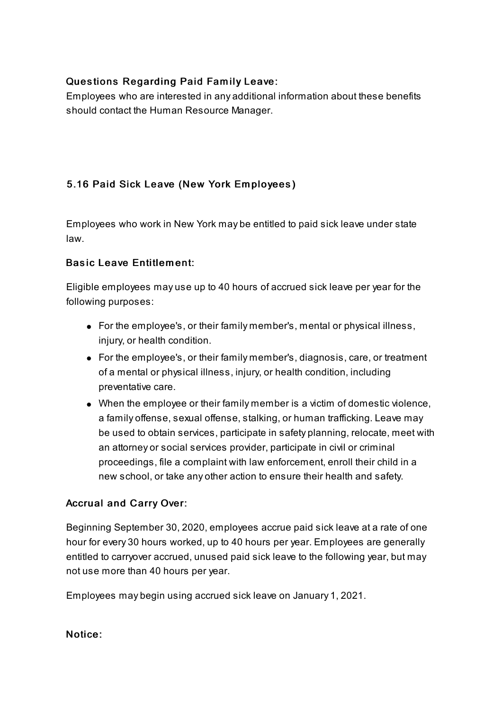## Questions Regarding Paid Family Leave:

Employees who are interested in any additional information about these benefits should contact the Human Resource Manager.

## 5.16 Paid Sick Leave (New York Em ployees)

Employees who work in New York may be entitled to paid sick leave under state law.

#### Basic Leave Entitlem ent:

Eligible employees may use up to 40 hours of accrued sick leave per year for the following purposes:

- For the employee's, or their family member's, mental or physical illness, injury, or health condition.
- For the employee's, or their family member's, diagnosis, care, or treatment of a mental or physical illness, injury, or health condition, including preventative care.
- When the employee or their family member is a victim of domestic violence, a family offense, sexual offense, stalking, or human trafficking. Leave may be used to obtain services, participate in safety planning, relocate, meet with an attorney or social services provider, participate in civil or criminal proceedings, file a complaint with law enforcement, enroll their child in a new school, or take any other action to ensure their health and safety.

#### Accrual and Carry Over:

Beginning September 30, 2020, employees accrue paid sick leave at a rate of one hour for every 30 hours worked, up to 40 hours per year. Employees are generally entitled to carryover accrued, unused paid sick leave to the following year, but may not use more than 40 hours per year.

Employees may begin using accrued sick leave on January 1, 2021.

#### Notice: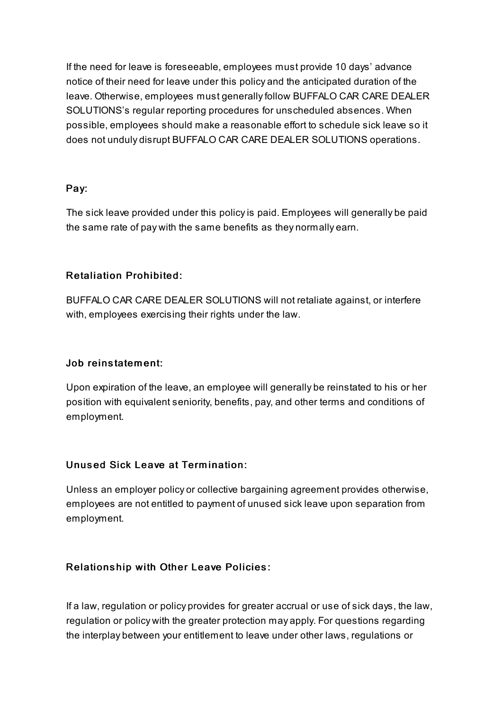If the need for leave is foreseeable, employees must provide 10 days' advance notice of their need for leave under this policy and the anticipated duration of the leave. Otherwise, employees must generallyfollow BUFFALO CAR CARE DEALER SOLUTIONS's regular reporting procedures for unscheduled absences. When possible, employees should make a reasonable effort to schedule sick leave so it does not unduly disrupt BUFFALO CAR CARE DEALER SOLUTIONS operations.

#### Pay:

The sick leave provided under this policyis paid. Employees will generally be paid the same rate of pay with the same benefits as they normally earn.

## Retaliation Prohibited:

BUFFALO CAR CARE DEALER SOLUTIONS will not retaliate against, or interfere with, employees exercising their rights under the law.

#### Job reinstatem ent:

Upon expiration of the leave, an employee will generally be reinstated to his or her position with equivalent seniority, benefits, pay, and other terms and conditions of employment.

#### Unus ed Sick Leave at Term ination:

Unless an employer policy or collective bargaining agreement provides otherwise, employees are not entitled to payment of unused sick leave upon separation from employment.

#### Relationship with Other Leave Policies:

If a law, regulation or policy provides for greater accrual or use of sick days, the law, regulation or policy with the greater protection may apply. For questions regarding the interplay between your entitlement to leave under other laws, regulations or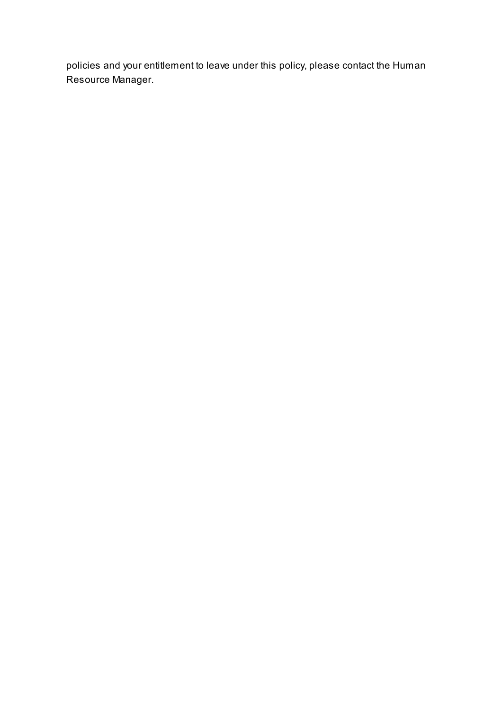policies and your entitlement to leave under this policy, please contact the Human Resource Manager.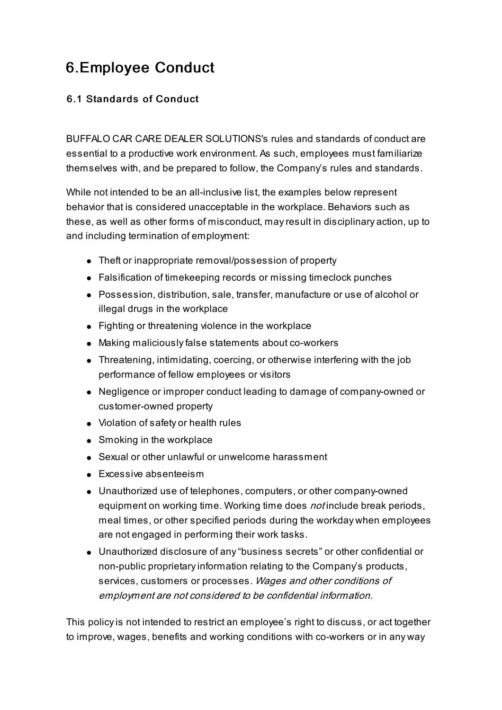## 6.Employee Conduct

## 6.1 Standards of Conduct

BUFFALO CAR CARE DEALER SOLUTIONS's rules and standards of conduct are essential to a productive work environment. As such, employees must familiarize themselves with, and be prepared to follow, the Company's rules and standards.

While not intended to be an all-inclusive list, the examples below represent behavior that is considered unacceptable in the workplace. Behaviors such as these, as well as other forms of misconduct, mayresult in disciplinary action, up to and including termination of employment:

- Theft or inappropriate removal/possession of property
- Falsification of timekeeping records or missing timeclock punches
- Possession, distribution, sale, transfer, manufacture or use of alcohol or illegal drugs in the workplace
- Fighting or threatening violence in the workplace
- Making maliciouslyfalse statements about co-workers
- Threatening, intimidating, coercing, or otherwise interfering with the job performance of fellow employees or visitors
- Negligence or improper conduct leading to damage of company-owned or customer-owned property
- Violation of safety or health rules
- Smoking in the workplace
- Sexual or other unlawful or unwelcome harassment
- **Excessive absenteeism**
- Unauthorized use of telephones, computers, or other company-owned equipment on working time. Working time does *not* include break periods, meal times, or other specified periods during the workday when employees are not engaged in performing their work tasks.
- Unauthorized disclosure of any"business secrets" or other confidential or non-public proprietaryinformation relating to the Company's products, services, customers or processes. Wages and other conditions of employment are not considered to be confidential information.

This policyis not intended to restrict an employee's right to discuss, or act together to improve, wages, benefits and working conditions with co-workers or in any way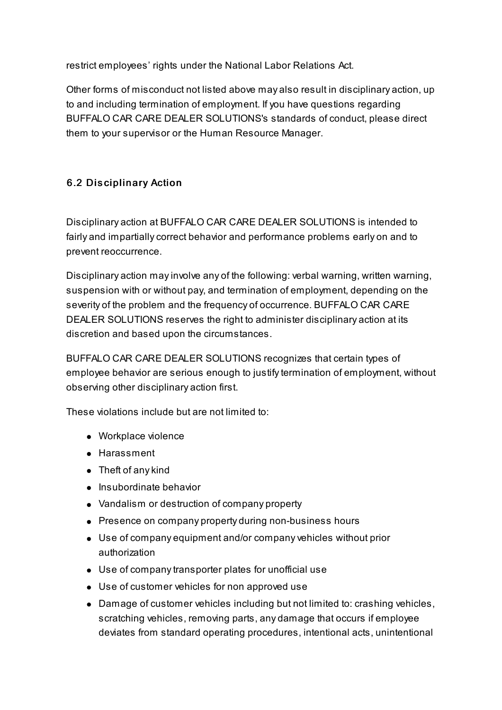restrict employees' rights under the National Labor Relations Act.

Other forms of misconduct not listed above may also result in disciplinary action, up to and including termination of employment. If you have questions regarding BUFFALO CAR CARE DEALER SOLUTIONS's standards of conduct, please direct them to your supervisor or the Human Resource Manager.

## 6.2 Disciplinary Action

Disciplinary action at BUFFALO CAR CARE DEALER SOLUTIONS is intended to fairly and impartially correct behavior and performance problems early on and to prevent reoccurrence.

Disciplinary action mayinvolve any of the following: verbal warning, written warning, suspension with or without pay, and termination of employment, depending on the severity of the problem and the frequency of occurrence. BUFFALO CAR CARE DEALER SOLUTIONS reserves the right to administer disciplinary action at its discretion and based upon the circumstances.

BUFFALO CAR CARE DEALER SOLUTIONS recognizes that certain types of employee behavior are serious enough to justifytermination of employment, without observing other disciplinary action first.

These violations include but are not limited to:

- Workplace violence
- Harassment
- Theft of any kind
- Insubordinate behavior
- Vandalism or destruction of company property
- Presence on company property during non-business hours
- Use of company equipment and/or company vehicles without prior authorization
- Use of companytransporter plates for unofficial use
- Use of customer vehicles for non approved use
- Damage of customer vehicles including but not limited to: crashing vehicles, scratching vehicles, removing parts, any damage that occurs if employee deviates from standard operating procedures, intentional acts, unintentional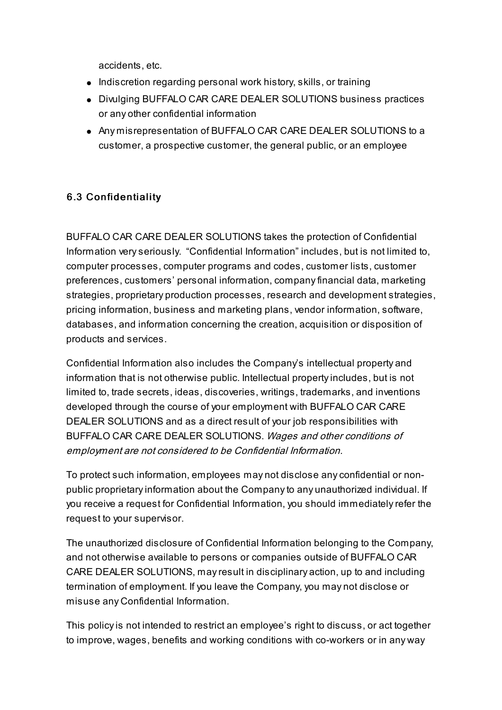accidents, etc.

- Indiscretion regarding personal work history, skills, or training
- Divulging BUFFALO CAR CARE DEALER SOLUTIONS business practices or any other confidential information
- Any misrepresentation of BUFFALO CAR CARE DEALER SOLUTIONS to a customer, a prospective customer, the general public, or an employee

## 6.3 Confidentiality

BUFFALO CAR CARE DEALER SOLUTIONS takes the protection of Confidential Information veryseriously. "Confidential Information" includes, but is not limited to, computer processes, computer programs and codes, customer lists, customer preferences, customers' personal information, companyfinancial data, marketing strategies, proprietary production processes, research and development strategies, pricing information, business and marketing plans, vendor information, software, databases, and information concerning the creation, acquisition or disposition of products and services.

Confidential Information also includes the Company's intellectual property and information that is not otherwise public. Intellectual propertyincludes, but is not limited to, trade secrets, ideas, discoveries, writings, trademarks, and inventions developed through the course of your employment with BUFFALO CAR CARE DEALER SOLUTIONS and as a direct result of your job responsibilities with BUFFALO CAR CARE DEALER SOLUTIONS. Wages and other conditions of employment are not considered to be Confidential Information.

To protect such information, employees may not disclose anyconfidential or nonpublic proprietaryinformation about the Companyto any unauthorized individual. If you receive a request for Confidential Information, you should immediatelyrefer the request to your supervisor.

The unauthorized disclosure of Confidential Information belonging to the Company, and not otherwise available to persons or companies outside of BUFFALO CAR CARE DEALER SOLUTIONS, mayresult in disciplinary action, up to and including termination of employment. If you leave the Company, you may not disclose or misuse any Confidential Information.

This policyis not intended to restrict an employee's right to discuss, or act together to improve, wages, benefits and working conditions with co-workers or in any way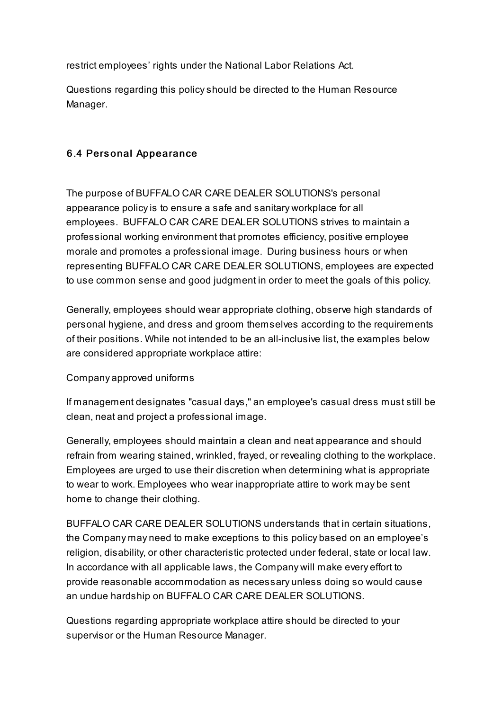restrict employees' rights under the National Labor Relations Act.

Questions regarding this policyshould be directed to the Human Resource Manager.

#### 6.4 Pers onal Appearance

The purpose of BUFFALO CAR CARE DEALER SOLUTIONS's personal appearance policyis to ensure a safe and sanitary workplace for all employees. BUFFALO CAR CARE DEALER SOLUTIONS strives to maintain a professional working environment that promotes efficiency, positive employee morale and promotes a professional image. During business hours or when representing BUFFALO CAR CARE DEALER SOLUTIONS, employees are expected to use common sense and good judgment in order to meet the goals of this policy.

Generally, employees should wear appropriate clothing, observe high standards of personal hygiene, and dress and groom themselves according to the requirements of their positions. While not intended to be an all-inclusive list, the examples below are considered appropriate workplace attire:

#### Company approved uniforms

If management designates "casual days," an employee's casual dress must still be clean, neat and project a professional image.

Generally, employees should maintain a clean and neat appearance and should refrain from wearing stained, wrinkled, frayed, or revealing clothing to the workplace. Employees are urged to use their discretion when determining what is appropriate to wear to work. Employees who wear inappropriate attire to work may be sent home to change their clothing.

BUFFALO CAR CARE DEALER SOLUTIONS understands that in certain situations, the Company may need to make exceptions to this policy based on an employee's religion, disability, or other characteristic protected under federal, state or local law. In accordance with all applicable laws, the Company will make every effort to provide reasonable accommodation as necessary unless doing so would cause an undue hardship on BUFFALO CAR CARE DEALER SOLUTIONS.

Questions regarding appropriate workplace attire should be directed to your supervisor or the Human Resource Manager.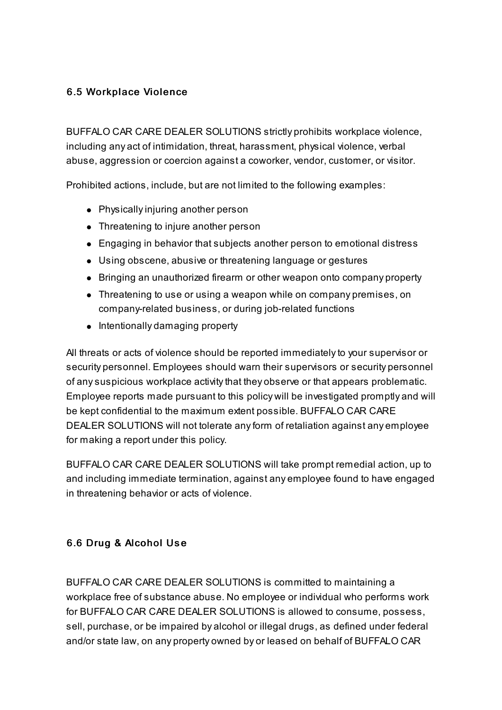#### 6.5 Workplace Violence

BUFFALO CAR CARE DEALER SOLUTIONS strictly prohibits workplace violence, including any act of intimidation, threat, harassment, physical violence, verbal abuse, aggression or coercion against a coworker, vendor, customer, or visitor.

Prohibited actions, include, but are not limited to the following examples:

- Physically injuring another person
- Threatening to injure another person
- Engaging in behavior that subjects another person to emotional distress
- Using obscene, abusive or threatening language or gestures
- Bringing an unauthorized firearm or other weapon onto company property
- Threatening to use or using a weapon while on company premises, on company-related business, or during job-related functions
- $\bullet$  Intentionally damaging property

All threats or acts of violence should be reported immediatelyto your supervisor or security personnel. Employees should warn their supervisors or security personnel of anysuspicious workplace activitythat they observe or that appears problematic. Employee reports made pursuant to this policy will be investigated promptly and will be kept confidential to the maximum extent possible. BUFFALO CAR CARE DEALER SOLUTIONS will not tolerate anyform of retaliation against any employee for making a report under this policy.

BUFFALO CAR CARE DEALER SOLUTIONS will take prompt remedial action, up to and including immediate termination, against any employee found to have engaged in threatening behavior or acts of violence.

## 6.6 Drug & Alcohol Us e

BUFFALO CAR CARE DEALER SOLUTIONS is committed to maintaining a workplace free of substance abuse. No employee or individual who performs work for BUFFALO CAR CARE DEALER SOLUTIONS is allowed to consume, possess, sell, purchase, or be impaired by alcohol or illegal drugs, as defined under federal and/or state law, on any property owned by or leased on behalf of BUFFALO CAR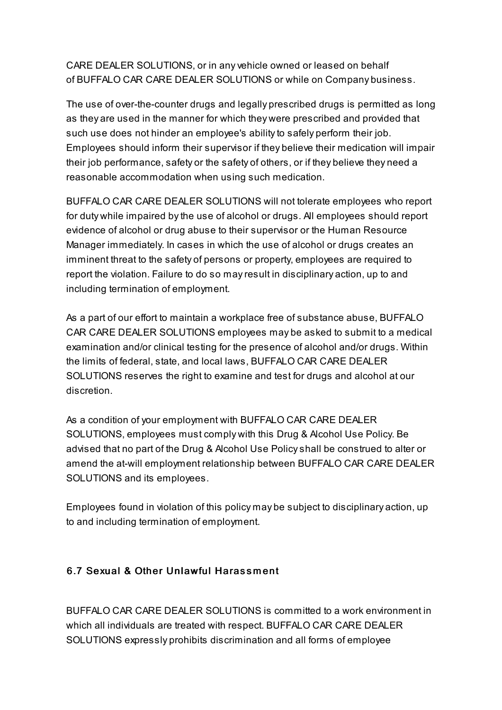CARE DEALER SOLUTIONS, or in anyvehicle owned or leased on behalf of BUFFALO CAR CARE DEALER SOLUTIONS or while on Company business.

The use of over-the-counter drugs and legally prescribed drugs is permitted as long as they are used in the manner for which they were prescribed and provided that such use does not hinder an employee's abilityto safely perform their job. Employees should inform their supervisor if they believe their medication will impair their job performance, safety or the safety of others, or if they believe they need a reasonable accommodation when using such medication.

BUFFALO CAR CARE DEALER SOLUTIONS will not tolerate employees who report for duty while impaired bythe use of alcohol or drugs. All employees should report evidence of alcohol or drug abuse to their supervisor or the Human Resource Manager immediately. In cases in which the use of alcohol or drugs creates an imminent threat to the safety of persons or property, employees are required to report the violation. Failure to do so mayresult in disciplinary action, up to and including termination of employment.

As a part of our effort to maintain a workplace free of substance abuse, BUFFALO CAR CARE DEALER SOLUTIONS employees may be asked to submit to a medical examination and/or clinical testing for the presence of alcohol and/or drugs. Within the limits of federal, state, and local laws, BUFFALO CAR CARE DEALER SOLUTIONS reserves the right to examine and test for drugs and alcohol at our discretion.

As a condition of your employment with BUFFALO CAR CARE DEALER SOLUTIONS, employees must comply with this Drug & Alcohol Use Policy. Be advised that no part of the Drug & Alcohol Use Policyshall be construed to alter or amend the at-will employment relationship between BUFFALO CAR CARE DEALER SOLUTIONS and its employees.

Employees found in violation of this policy may be subject to disciplinary action, up to and including termination of employment.

## 6.7 Sexual & Other Unlawful Harass m ent

BUFFALO CAR CARE DEALER SOLUTIONS is committed to a work environment in which all individuals are treated with respect. BUFFALO CAR CARE DEALER SOLUTIONS expressly prohibits discrimination and all forms of employee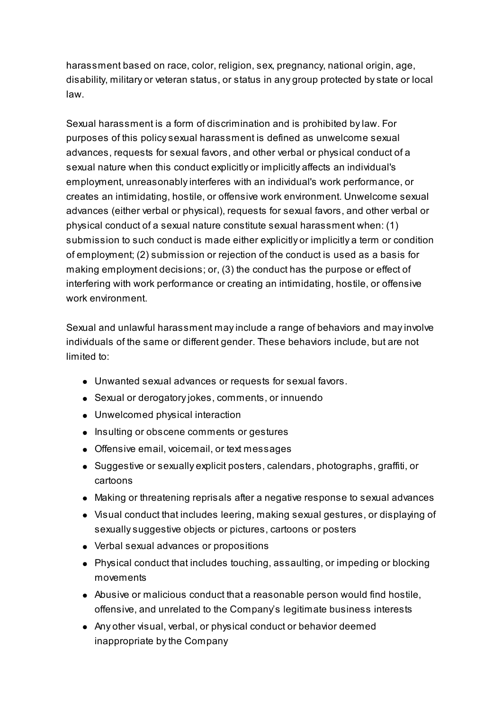harassment based on race, color, religion, sex, pregnancy, national origin, age, disability, military or veteran status, or status in any group protected bystate or local law.

Sexual harassment is a form of discrimination and is prohibited bylaw. For purposes of this policysexual harassment is defined as unwelcome sexual advances, requests for sexual favors, and other verbal or physical conduct of a sexual nature when this conduct explicitly or implicitly affects an individual's employment, unreasonablyinterferes with an individual's work performance, or creates an intimidating, hostile, or offensive work environment. Unwelcome sexual advances (either verbal or physical), requests for sexual favors, and other verbal or physical conduct of a sexual nature constitute sexual harassment when: (1) submission to such conduct is made either explicitly or implicitly a term or condition of employment; (2) submission or rejection of the conduct is used as a basis for making employment decisions; or, (3) the conduct has the purpose or effect of interfering with work performance or creating an intimidating, hostile, or offensive work environment.

Sexual and unlawful harassment mayinclude a range of behaviors and mayinvolve individuals of the same or different gender. These behaviors include, but are not limited to:

- Unwanted sexual advances or requests for sexual favors.
- Sexual or derogatoryjokes, comments, or innuendo
- Unwelcomed physical interaction
- Insulting or obscene comments or gestures
- Offensive email, voicemail, or text messages
- Suggestive or sexually explicit posters, calendars, photographs, graffiti, or cartoons
- Making or threatening reprisals after a negative response to sexual advances
- Visual conduct that includes leering, making sexual gestures, or displaying of sexuallysuggestive objects or pictures, cartoons or posters
- Verbal sexual advances or propositions
- Physical conduct that includes touching, assaulting, or impeding or blocking movements
- Abusive or malicious conduct that a reasonable person would find hostile, offensive, and unrelated to the Company's legitimate business interests
- Any other visual, verbal, or physical conduct or behavior deemed inappropriate bythe Company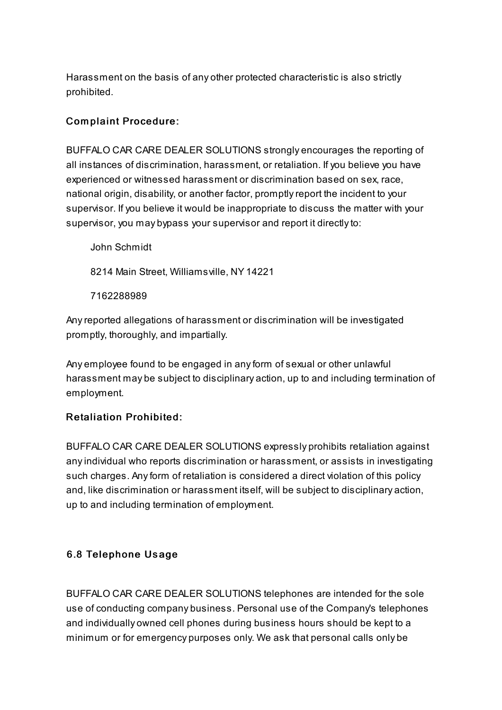Harassment on the basis of any other protected characteristic is also strictly prohibited.

## Com plaint Procedure:

BUFFALO CAR CARE DEALER SOLUTIONS strongly encourages the reporting of all instances of discrimination, harassment, or retaliation. If you believe you have experienced or witnessed harassment or discrimination based on sex, race, national origin, disability, or another factor, promptlyreport the incident to your supervisor. If you believe it would be inappropriate to discuss the matter with your supervisor, you may bypass your supervisor and report it directly to:

John Schmidt 8214 Main Street, Williamsville, NY 14221 7162288989

Anyreported allegations of harassment or discrimination will be investigated promptly, thoroughly, and impartially.

Any employee found to be engaged in anyform of sexual or other unlawful harassment may be subject to disciplinary action, up to and including termination of employment.

#### **Retaliation Prohibited:**

BUFFALO CAR CARE DEALER SOLUTIONS expressly prohibits retaliation against anyindividual who reports discrimination or harassment, or assists in investigating such charges. Anyform of retaliation is considered a direct violation of this policy and, like discrimination or harassment itself, will be subject to disciplinary action, up to and including termination of employment.

#### 6.8 Telephone Us age

BUFFALO CAR CARE DEALER SOLUTIONS telephones are intended for the sole use of conducting company business. Personal use of the Company's telephones and individually owned cell phones during business hours should be kept to a minimum or for emergency purposes only. We ask that personal calls only be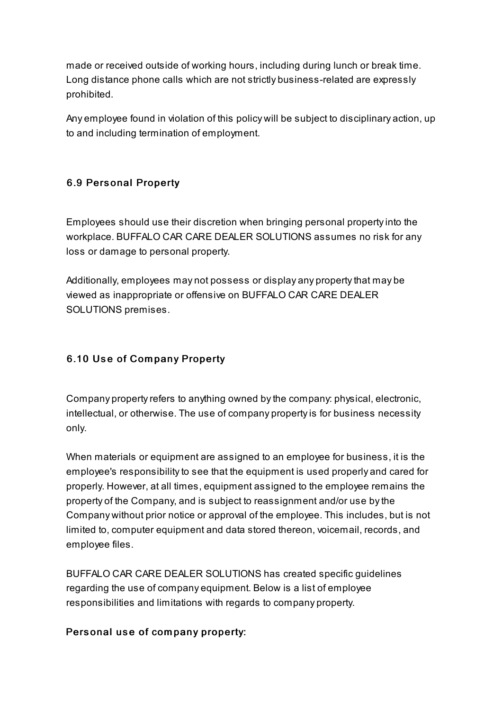made or received outside of working hours, including during lunch or break time. Long distance phone calls which are not strictly business-related are expressly prohibited.

Any employee found in violation of this policy will be subject to disciplinary action, up to and including termination of employment.

## 6.9 Pers onal Property

Employees should use their discretion when bringing personal propertyinto the workplace. BUFFALO CAR CARE DEALER SOLUTIONS assumes no risk for any loss or damage to personal property.

Additionally, employees may not possess or display any property that may be viewed as inappropriate or offensive on BUFFALO CAR CARE DEALER SOLUTIONS premises.

## 6.10 Use of Company Property

Company property refers to anything owned by the company: physical, electronic, intellectual, or otherwise. The use of company propertyis for business necessity only.

When materials or equipment are assigned to an employee for business, it is the employee's responsibilityto see that the equipment is used properly and cared for properly. However, at all times, equipment assigned to the employee remains the property of the Company, and is subject to reassignment and/or use bythe Company without prior notice or approval of the employee. This includes, but is not limited to, computer equipment and data stored thereon, voicemail, records, and employee files.

BUFFALO CAR CARE DEALER SOLUTIONS has created specific guidelines regarding the use of company equipment. Below is a list of employee responsibilities and limitations with regards to company property.

#### Personal use of company property: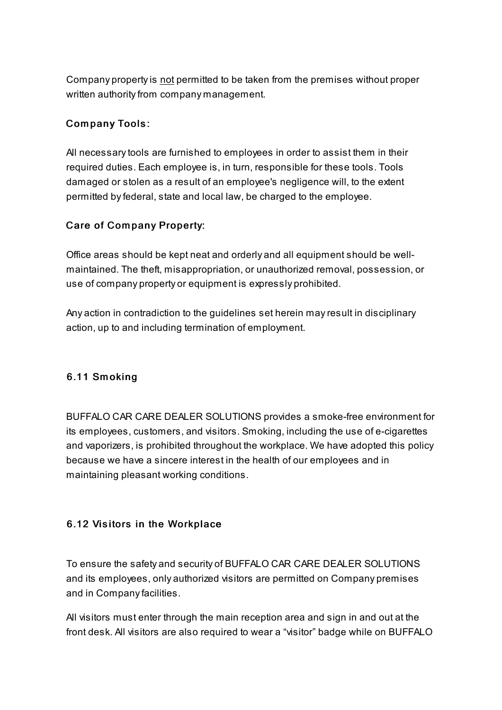Company propertyis not permitted to be taken from the premises without proper written authority from company management.

## Com pany Tools:

All necessarytools are furnished to employees in order to assist them in their required duties. Each employee is, in turn, responsible for these tools. Tools damaged or stolen as a result of an employee's negligence will, to the extent permitted byfederal, state and local law, be charged to the employee.

## Care of Company Property:

Office areas should be kept neat and orderly and all equipment should be wellmaintained. The theft, misappropriation, or unauthorized removal, possession, or use of company property or equipment is expressly prohibited.

Any action in contradiction to the guidelines set herein mayresult in disciplinary action, up to and including termination of employment.

#### 6.11 Sm oking

BUFFALO CAR CARE DEALER SOLUTIONS provides a smoke-free environment for its employees, customers, and visitors. Smoking, including the use of e-cigarettes and vaporizers, is prohibited throughout the workplace. We have adopted this policy because we have a sincere interest in the health of our employees and in maintaining pleasant working conditions.

#### 6.12 Visitors in the Workplace

To ensure the safety and security of BUFFALO CAR CARE DEALER SOLUTIONS and its employees, only authorized visitors are permitted on Company premises and in Companyfacilities.

All visitors must enter through the main reception area and sign in and out at the front desk. All visitors are also required to wear a "visitor" badge while on BUFFALO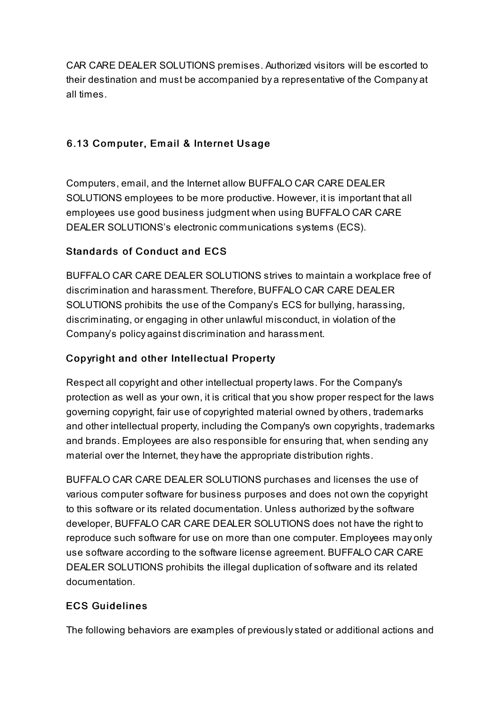CAR CARE DEALER SOLUTIONS premises. Authorized visitors will be escorted to their destination and must be accompanied by a representative of the Company at all times.

## 6.13 Computer, Email & Internet Usage

Computers, email, and the Internet allow BUFFALO CAR CARE DEALER SOLUTIONS employees to be more productive. However, it is important that all employees use good business judgment when using BUFFALO CAR CARE DEALER SOLUTIONS's electronic communications systems (ECS).

## Standards of Conduct and ECS

BUFFALO CAR CARE DEALER SOLUTIONS strives to maintain a workplace free of discrimination and harassment. Therefore, BUFFALO CAR CARE DEALER SOLUTIONS prohibits the use of the Company's ECS for bullying, harassing, discriminating, or engaging in other unlawful misconduct, in violation of the Company's policy against discrimination and harassment.

## Copyright and other Intellectual Property

Respect all copyright and other intellectual propertylaws. For the Company's protection as well as your own, it is critical that you show proper respect for the laws governing copyright, fair use of copyrighted material owned by others, trademarks and other intellectual property, including the Company's own copyrights, trademarks and brands. Employees are also responsible for ensuring that, when sending any material over the Internet, they have the appropriate distribution rights.

BUFFALO CAR CARE DEALER SOLUTIONS purchases and licenses the use of various computer software for business purposes and does not own the copyright to this software or its related documentation. Unless authorized bythe software developer, BUFFALO CAR CARE DEALER SOLUTIONS does not have the right to reproduce such software for use on more than one computer. Employees may only use software according to the software license agreement. BUFFALO CAR CARE DEALER SOLUTIONS prohibits the illegal duplication of software and its related documentation.

#### **ECS Guidelines**

The following behaviors are examples of previouslystated or additional actions and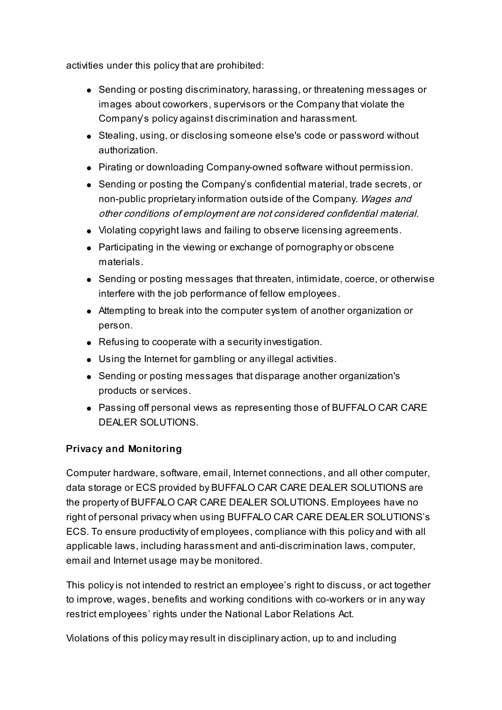activities under this policy that are prohibited:

- Sending or posting discriminatory, harassing, or threatening messages or images about coworkers, supervisors or the Companythat violate the Company's policy against discrimination and harassment.
- Stealing, using, or disclosing someone else's code or password without authorization.
- Pirating or downloading Company-owned software without permission.
- Sending or posting the Company's confidential material, trade secrets, or non-public proprietary information outside of the Company. Wages and other conditions of employment are not considered confidential material.
- Violating copyright laws and failing to observe licensing agreements.
- Participating in the viewing or exchange of pornography or obscene materials.
- Sending or posting messages that threaten, intimidate, coerce, or otherwise interfere with the job performance of fellow employees.
- Attempting to break into the computer system of another organization or person.
- Refusing to cooperate with a security investigation.
- Using the Internet for gambling or anyillegal activities.
- Sending or posting messages that disparage another organization's products or services.
- Passing off personal views as representing those of BUFFALO CAR CARE DEALER SOLUTIONS.

## Privacy and Monitoring

Computer hardware, software, email, Internet connections, and all other computer, data storage or ECS provided by BUFFALO CAR CARE DEALER SOLUTIONS are the property of BUFFALO CAR CARE DEALER SOLUTIONS. Employees have no right of personal privacy when using BUFFALO CAR CARE DEALER SOLUTIONS's ECS. To ensure productivity of employees, compliance with this policy and with all applicable laws, including harassment and anti-discrimination laws, computer, email and Internet usage may be monitored.

This policyis not intended to restrict an employee's right to discuss, or act together to improve, wages, benefits and working conditions with co-workers or in any way restrict employees' rights under the National Labor Relations Act.

Violations of this policy mayresult in disciplinary action, up to and including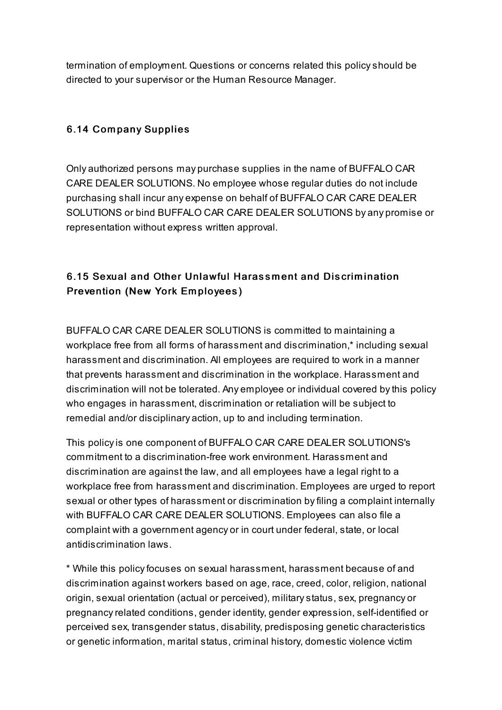termination of employment. Questions or concerns related this policyshould be directed to your supervisor or the Human Resource Manager.

#### 6.14 Company Supplies

Only authorized persons may purchase supplies in the name of BUFFALO CAR CARE DEALER SOLUTIONS. No employee whose regular duties do not include purchasing shall incur any expense on behalf of BUFFALO CAR CARE DEALER SOLUTIONS or bind BUFFALO CAR CARE DEALER SOLUTIONS by any promise or representation without express written approval.

## 6.15 Sexual and Other Unlawful Harass m ent and Discrim ination Prevention (New York Em ployees)

BUFFALO CAR CARE DEALER SOLUTIONS is committed to maintaining a workplace free from all forms of harassment and discrimination,\* including sexual harassment and discrimination. All employees are required to work in a manner that prevents harassment and discrimination in the workplace. Harassment and discrimination will not be tolerated. Any employee or individual covered bythis policy who engages in harassment, discrimination or retaliation will be subject to remedial and/or disciplinary action, up to and including termination.

This policyis one component of BUFFALO CAR CARE DEALER SOLUTIONS's commitment to a discrimination-free work environment. Harassment and discrimination are against the law, and all employees have a legal right to a workplace free from harassment and discrimination. Employees are urged to report sexual or other types of harassment or discrimination byfiling a complaint internally with BUFFALO CAR CARE DEALER SOLUTIONS. Employees can also file a complaint with a government agency or in court under federal, state, or local antidiscrimination laws.

\* While this policyfocuses on sexual harassment, harassment because of and discrimination against workers based on age, race, creed, color, religion, national origin, sexual orientation (actual or perceived), militarystatus, sex, pregnancy or pregnancy related conditions, gender identity, gender expression, self-identified or perceived sex, transgender status, disability, predisposing genetic characteristics or genetic information, marital status, criminal history, domestic violence victim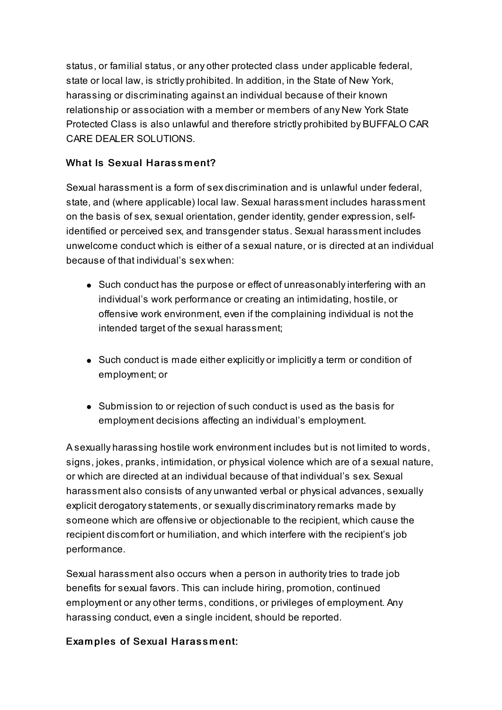status, or familial status, or any other protected class under applicable federal, state or local law, is strictly prohibited. In addition, in the State of New York, harassing or discriminating against an individual because of their known relationship or association with a member or members of any New York State Protected Class is also unlawful and therefore strictly prohibited by BUFFALO CAR CARE DEALER SOLUTIONS.

## What Is Sexual Harassment?

Sexual harassment is a form of sex discrimination and is unlawful under federal, state, and (where applicable) local law. Sexual harassment includes harassment on the basis of sex, sexual orientation, gender identity, gender expression, selfidentified or perceived sex, and transgender status. Sexual harassment includes unwelcome conduct which is either of a sexual nature, or is directed at an individual because of that individual's sex when:

- Such conduct has the purpose or effect of unreasonably interfering with an individual's work performance or creating an intimidating, hostile, or offensive work environment, even if the complaining individual is not the intended target of the sexual harassment;
- Such conduct is made either explicitly or implicitly a term or condition of employment; or
- Submission to or rejection of such conduct is used as the basis for employment decisions affecting an individual's employment.

A sexually harassing hostile work environment includes but is not limited to words, signs, jokes, pranks, intimidation, or physical violence which are of a sexual nature, or which are directed at an individual because of that individual's sex. Sexual harassment also consists of any unwanted verbal or physical advances, sexually explicit derogatory statements, or sexually discriminatory remarks made by someone which are offensive or objectionable to the recipient, which cause the recipient discomfort or humiliation, and which interfere with the recipient's job performance.

Sexual harassment also occurs when a person in authority tries to trade job benefits for sexual favors. This can include hiring, promotion, continued employment or any other terms, conditions, or privileges of employment. Any harassing conduct, even a single incident, should be reported.

#### Examples of Sexual Harassment: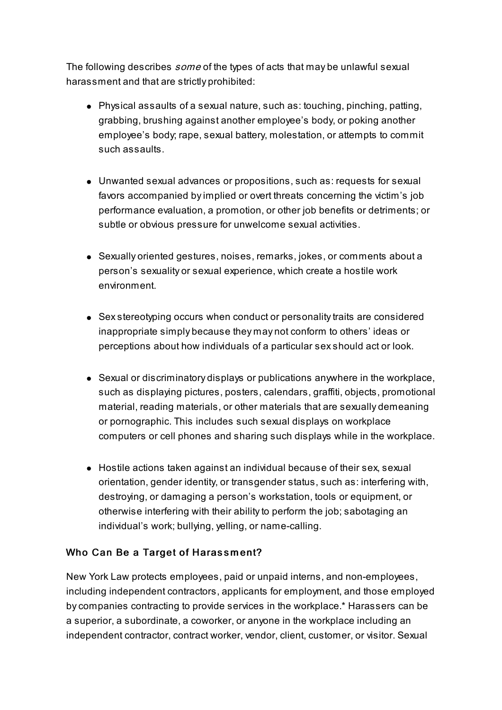The following describes *some* of the types of acts that may be unlawful sexual harassment and that are strictly prohibited:

- Physical assaults of a sexual nature, such as: touching, pinching, patting, grabbing, brushing against another employee's body, or poking another employee's body; rape, sexual battery, molestation, or attempts to commit such assaults.
- Unwanted sexual advances or propositions, such as: requests for sexual favors accompanied byimplied or overt threats concerning the victim's job performance evaluation, a promotion, or other job benefits or detriments; or subtle or obvious pressure for unwelcome sexual activities.
- Sexually oriented gestures, noises, remarks, jokes, or comments about a person's sexuality or sexual experience, which create a hostile work environment.
- Sex stereotyping occurs when conduct or personality traits are considered inappropriate simply because they may not conform to others' ideas or perceptions about how individuals of a particular sexshould act or look.
- Sexual or discriminatory displays or publications anywhere in the workplace, such as displaying pictures, posters, calendars, graffiti, objects, promotional material, reading materials, or other materials that are sexually demeaning or pornographic. This includes such sexual displays on workplace computers or cell phones and sharing such displays while in the workplace.
- Hostile actions taken against an individual because of their sex, sexual orientation, gender identity, or transgender status, such as: interfering with, destroying, or damaging a person's workstation, tools or equipment, or otherwise interfering with their abilityto perform the job; sabotaging an individual's work; bullying, yelling, or name-calling.

#### Who Can Be a Target of Harassment?

New York Law protects employees, paid or unpaid interns, and non-employees, including independent contractors, applicants for employment, and those employed bycompanies contracting to provide services in the workplace.\* Harassers can be a superior, a subordinate, a coworker, or anyone in the workplace including an independent contractor, contract worker, vendor, client, customer, or visitor. Sexual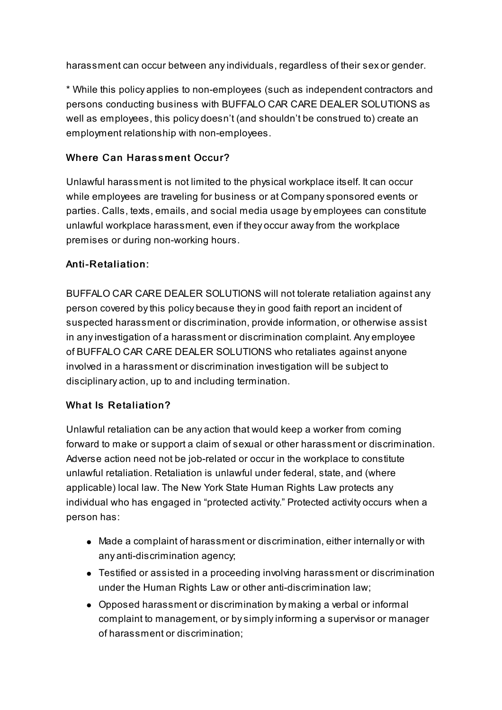harassment can occur between anyindividuals, regardless of their sex or gender.

\* While this policy applies to non-employees (such as independent contractors and persons conducting business with BUFFALO CAR CARE DEALER SOLUTIONS as well as employees, this policy doesn't (and shouldn't be construed to) create an employment relationship with non-employees.

## Where Can Harassment Occur?

Unlawful harassment is not limited to the physical workplace itself. It can occur while employees are traveling for business or at Companysponsored events or parties. Calls, texts, emails, and social media usage by employees can constitute unlawful workplace harassment, even if they occur awayfrom the workplace premises or during non-working hours.

## Anti-Retaliation:

BUFFALO CAR CARE DEALER SOLUTIONS will not tolerate retaliation against any person covered bythis policy because theyin good faith report an incident of suspected harassment or discrimination, provide information, or otherwise assist in anyinvestigation of a harassment or discrimination complaint. Any employee of BUFFALO CAR CARE DEALER SOLUTIONS who retaliates against anyone involved in a harassment or discrimination investigation will be subject to disciplinary action, up to and including termination.

## What Is Retaliation?

Unlawful retaliation can be any action that would keep a worker from coming forward to make or support a claim of sexual or other harassment or discrimination. Adverse action need not be job-related or occur in the workplace to constitute unlawful retaliation. Retaliation is unlawful under federal, state, and (where applicable) local law. The New York State Human Rights Law protects any individual who has engaged in "protected activity." Protected activity occurs when a person has:

- Made a complaint of harassment or discrimination, either internally or with any anti-discrimination agency;
- Testified or assisted in a proceeding involving harassment or discrimination under the Human Rights Law or other anti-discrimination law;
- Opposed harassment or discrimination by making a verbal or informal complaint to management, or bysimplyinforming a supervisor or manager of harassment or discrimination;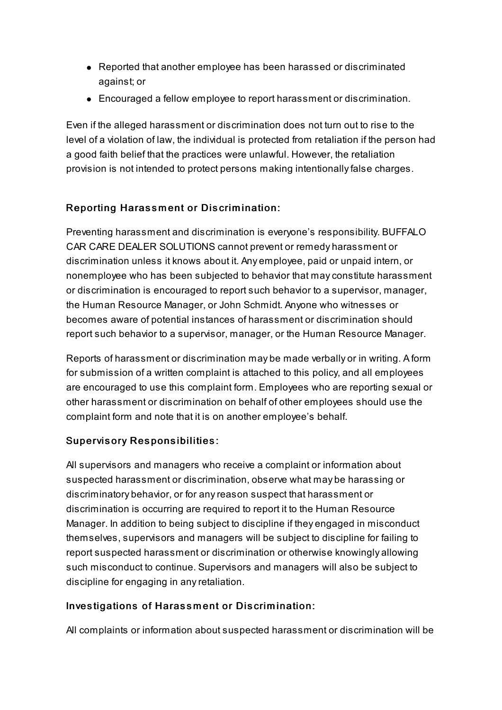- Reported that another employee has been harassed or discriminated against; or
- Encouraged a fellow employee to report harassment or discrimination.

Even if the alleged harassment or discrimination does not turn out to rise to the level of a violation of law, the individual is protected from retaliation if the person had a good faith belief that the practices were unlawful. However, the retaliation provision is not intended to protect persons making intentionallyfalse charges.

## Reporting Harassment or Discrimination:

Preventing harassment and discrimination is everyone's responsibility. BUFFALO CAR CARE DEALER SOLUTIONS cannot prevent or remedy harassment or discrimination unless it knows about it. Any employee, paid or unpaid intern, or nonemployee who has been subjected to behavior that mayconstitute harassment or discrimination is encouraged to report such behavior to a supervisor, manager, the Human Resource Manager, or John Schmidt. Anyone who witnesses or becomes aware of potential instances of harassment or discrimination should report such behavior to a supervisor, manager, or the Human Resource Manager.

Reports of harassment or discrimination may be made verbally or in writing. A form for submission of a written complaint is attached to this policy, and all employees are encouraged to use this complaint form. Employees who are reporting sexual or other harassment or discrimination on behalf of other employees should use the complaint form and note that it is on another employee's behalf.

## Supervisory Responsibilities:

All supervisors and managers who receive a complaint or information about suspected harassment or discrimination, observe what may be harassing or discriminatory behavior, or for anyreason suspect that harassment or discrimination is occurring are required to report it to the Human Resource Manager. In addition to being subject to discipline if they engaged in misconduct themselves, supervisors and managers will be subject to discipline for failing to report suspected harassment or discrimination or otherwise knowingly allowing such misconduct to continue. Supervisors and managers will also be subject to discipline for engaging in anyretaliation.

#### Investigations of Harassment or Discrimination:

All complaints or information about suspected harassment or discrimination will be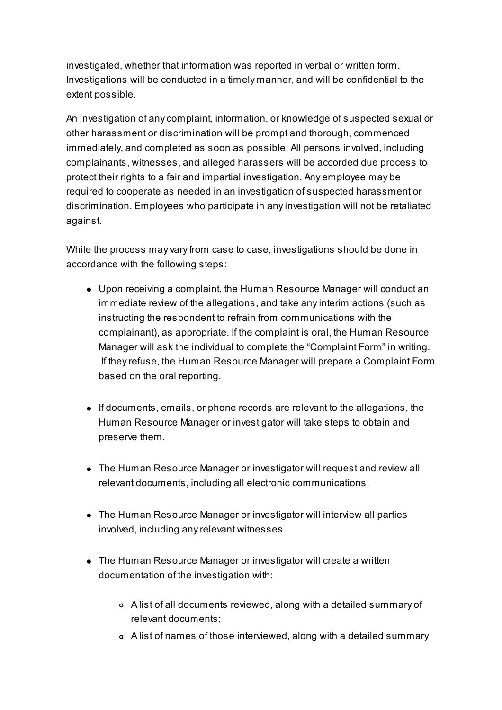investigated, whether that information was reported in verbal or written form. Investigations will be conducted in a timely manner, and will be confidential to the extent possible.

An investigation of anycomplaint, information, or knowledge of suspected sexual or other harassment or discrimination will be prompt and thorough, commenced immediately, and completed as soon as possible. All persons involved, including complainants, witnesses, and alleged harassers will be accorded due process to protect their rights to a fair and impartial investigation. Any employee may be required to cooperate as needed in an investigation of suspected harassment or discrimination. Employees who participate in anyinvestigation will not be retaliated against.

While the process may vary from case to case, investigations should be done in accordance with the following steps:

- Upon receiving a complaint, the Human Resource Manager will conduct an immediate review of the allegations, and take anyinterim actions (such as instructing the respondent to refrain from communications with the complainant), as appropriate. If the complaint is oral, the Human Resource Manager will ask the individual to complete the "Complaint Form" in writing. If theyrefuse, the Human Resource Manager will prepare a Complaint Form based on the oral reporting.
- If documents, emails, or phone records are relevant to the allegations, the Human Resource Manager or investigator will take steps to obtain and preserve them.
- The Human Resource Manager or investigator will request and review all relevant documents, including all electronic communications.
- The Human Resource Manager or investigator will interview all parties involved, including anyrelevant witnesses.
- The Human Resource Manager or investigator will create a written documentation of the investigation with:
	- A list of all documents reviewed, along with a detailed summary of relevant documents;
	- A list of names of those interviewed, along with a detailed summary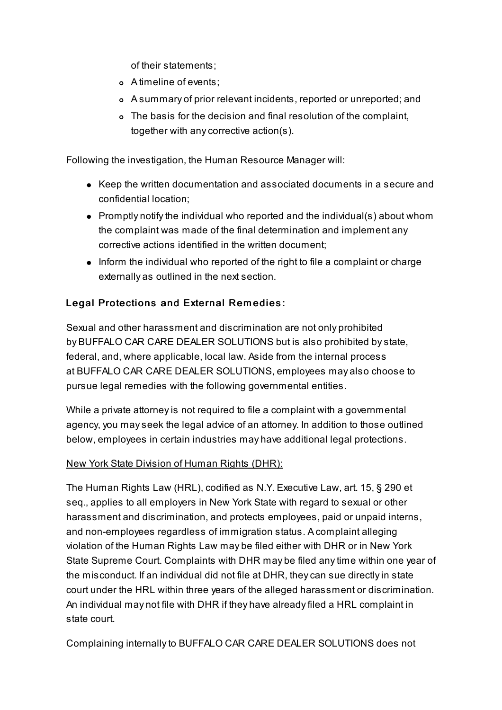of their statements;

- A timeline of events;
- A summary of prior relevant incidents, reported or unreported; and
- The basis for the decision and final resolution of the complaint, together with anycorrective action(s).

Following the investigation, the Human Resource Manager will:

- Keep the written documentation and associated documents in a secure and confidential location;
- Promptly notify the individual who reported and the individual(s) about whom the complaint was made of the final determination and implement any corrective actions identified in the written document;
- Inform the individual who reported of the right to file a complaint or charge externally as outlined in the next section.

## Legal Protections and External Remedies:

Sexual and other harassment and discrimination are not only prohibited by BUFFALO CAR CARE DEALER SOLUTIONS but is also prohibited bystate, federal, and, where applicable, local law. Aside from the internal process at BUFFALO CAR CARE DEALER SOLUTIONS, employees may also choose to pursue legal remedies with the following governmental entities.

While a private attorney is not required to file a complaint with a governmental agency, you mayseek the legal advice of an attorney. In addition to those outlined below, employees in certain industries may have additional legal protections.

#### New York State Division of Human Rights (DHR):

The Human Rights Law (HRL), codified as N.Y. Executive Law, art. 15, § 290 et seq., applies to all employers in New York State with regard to sexual or other harassment and discrimination, and protects employees, paid or unpaid interns, and non-employees regardless of immigration status. A complaint alleging violation of the Human Rights Law may be filed either with DHR or in New York State Supreme Court. Complaints with DHR may be filed anytime within one year of the misconduct. If an individual did not file at DHR, theycan sue directlyin state court under the HRL within three years of the alleged harassment or discrimination. An individual may not file with DHR if they have alreadyfiled a HRL complaint in state court.

Complaining internallyto BUFFALO CAR CARE DEALER SOLUTIONS does not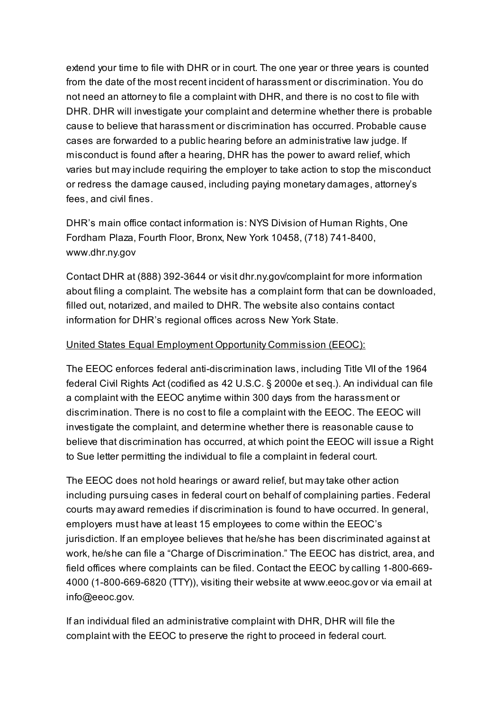extend your time to file with DHR or in court. The one year or three years is counted from the date of the most recent incident of harassment or discrimination. You do not need an attorney to file a complaint with DHR, and there is no cost to file with DHR. DHR will investigate your complaint and determine whether there is probable cause to believe that harassment or discrimination has occurred. Probable cause cases are forwarded to a public hearing before an administrative law judge. If misconduct is found after a hearing, DHR has the power to award relief, which varies but mayinclude requiring the employer to take action to stop the misconduct or redress the damage caused, including paying monetary damages, attorney's fees, and civil fines.

DHR's main office contact information is: NYS Division of Human Rights, One Fordham Plaza, Fourth Floor, Bronx, New York 10458, (718) 741-8400, www.dhr.ny.gov

Contact DHR at (888) 392-3644 or visit dhr.ny.gov/complaint for more information about filing a complaint. The website has a complaint form that can be downloaded, filled out, notarized, and mailed to DHR. The website also contains contact information for DHR's regional offices across New York State.

#### United States Equal Employment Opportunity Commission (EEOC):

The EEOC enforces federal anti-discrimination laws, including Title VII of the 1964 federal Civil Rights Act (codified as 42 U.S.C. § 2000e et seq.). An individual can file a complaint with the EEOC anytime within 300 days from the harassment or discrimination. There is no cost to file a complaint with the EEOC. The EEOC will investigate the complaint, and determine whether there is reasonable cause to believe that discrimination has occurred, at which point the EEOC will issue a Right to Sue letter permitting the individual to file a complaint in federal court.

The EEOC does not hold hearings or award relief, but maytake other action including pursuing cases in federal court on behalf of complaining parties. Federal courts may award remedies if discrimination is found to have occurred. In general, employers must have at least 15 employees to come within the EEOC's jurisdiction. If an employee believes that he/she has been discriminated against at work, he/she can file a "Charge of Discrimination." The EEOC has district, area, and field offices where complaints can be filed. Contact the EEOC bycalling 1-800-669- 4000 (1-800-669-6820 (TTY)), visiting their website at www.eeoc.gov or via email at info@eeoc.gov.

If an individual filed an administrative complaint with DHR, DHR will file the complaint with the EEOC to preserve the right to proceed in federal court.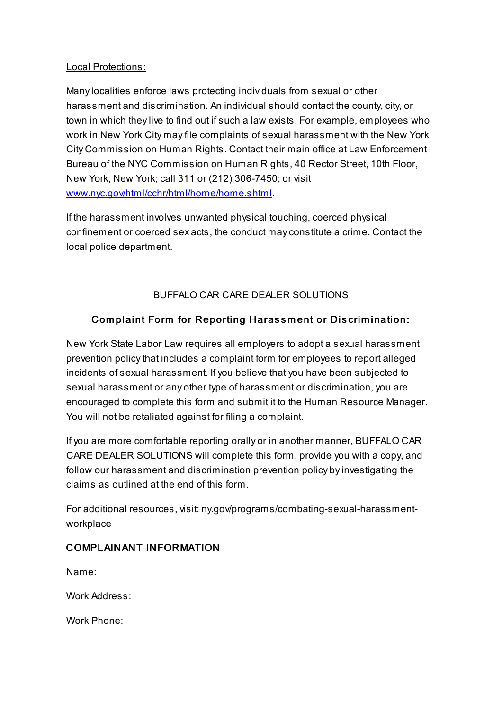#### Local Protections:

Manylocalities enforce laws protecting individuals from sexual or other harassment and discrimination. An individual should contact the county, city, or town in which theylive to find out if such a law exists. For example, employees who work in New York City mayfile complaints of sexual harassment with the New York City Commission on Human Rights. Contact their main office at Law Enforcement Bureau of the NYC Commission on Human Rights, 40 Rector Street, 10th Floor, New York, New York; call 311 or (212) 306-7450; or visit [www.nyc.gov/html/cchr/html/home/home.shtml](http://www.nyc.gov/html/cchr/html/home/home.shtml).

If the harassment involves unwanted physical touching, coerced physical confinement or coerced sex acts, the conduct mayconstitute a crime. Contact the local police department.

## BUFFALO CAR CARE DEALER SOLUTIONS

## Complaint Form for Reporting Harassment or Discrimination:

New York State Labor Law requires all employers to adopt a sexual harassment prevention policy that includes a complaint form for employees to report alleged incidents of sexual harassment. If you believe that you have been subjected to sexual harassment or any other type of harassment or discrimination, you are encouraged to complete this form and submit it to the Human Resource Manager. You will not be retaliated against for filing a complaint.

If you are more comfortable reporting orally or in another manner, BUFFALO CAR CARE DEALER SOLUTIONS will complete this form, provide you with a copy, and follow our harassment and discrimination prevention policy byinvestigating the claims as outlined at the end of this form.

For additional resources, visit: ny.gov/programs/combating-sexual-harassmentworkplace

#### COMPLAINANT INFORMATION

Name:

Work Address:

Work Phone: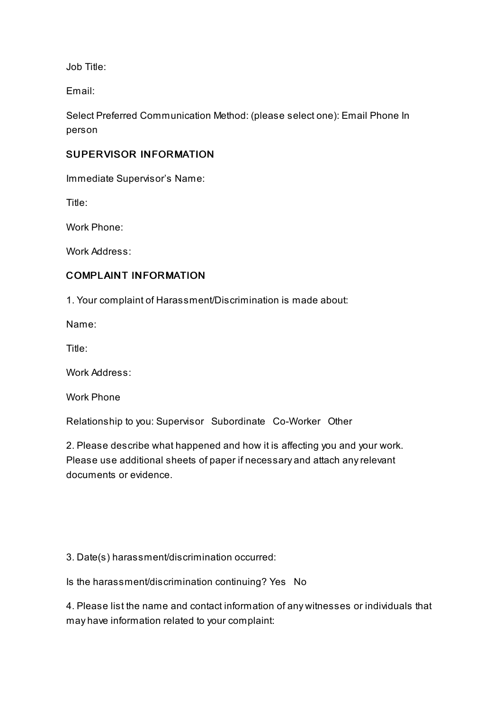Job Title:

Email:

Select Preferred Communication Method: (please select one): Email Phone In person

#### SUPERVISOR INFORMATION

Immediate Supervisor's Name:

Title:

Work Phone:

Work Address:

#### COMPLAINT INFORMATION

1. Your complaint of Harassment/Discrimination is made about:

Name:

Title:

Work Address:

Work Phone

Relationship to you: Supervisor Subordinate Co-Worker Other

2. Please describe what happened and how it is affecting you and your work. Please use additional sheets of paper if necessary and attach anyrelevant documents or evidence.

3. Date(s) harassment/discrimination occurred:

Is the harassment/discrimination continuing? Yes No

4. Please list the name and contact information of any witnesses or individuals that may have information related to your complaint: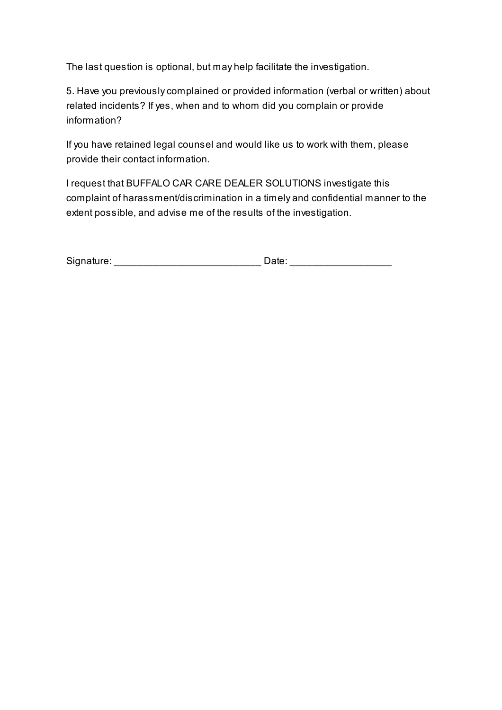The last question is optional, but may help facilitate the investigation.

5. Have you previouslycomplained or provided information (verbal or written) about related incidents? If yes, when and to whom did you complain or provide information?

If you have retained legal counsel and would like us to work with them, please provide their contact information.

I request that BUFFALO CAR CARE DEALER SOLUTIONS investigate this complaint of harassment/discrimination in a timely and confidential manner to the extent possible, and advise me of the results of the investigation.

| Signature: |       |
|------------|-------|
|            | late. |
|            |       |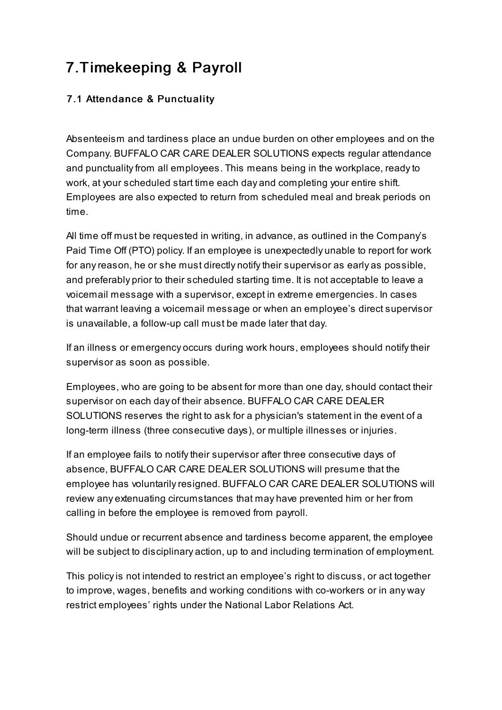## 7.Timekeeping & Payroll

## 7.1 Attendance & Punctuality

Absenteeism and tardiness place an undue burden on other employees and on the Company. BUFFALO CAR CARE DEALER SOLUTIONS expects regular attendance and punctuality from all employees. This means being in the workplace, ready to work, at your scheduled start time each day and completing your entire shift. Employees are also expected to return from scheduled meal and break periods on time.

All time off must be requested in writing, in advance, as outlined in the Company's Paid Time Off (PTO) policy. If an employee is unexpectedly unable to report for work for anyreason, he or she must directly notifytheir supervisor as early as possible, and preferably prior to their scheduled starting time. It is not acceptable to leave a voicemail message with a supervisor, except in extreme emergencies. In cases that warrant leaving a voicemail message or when an employee's direct supervisor is unavailable, a follow-up call must be made later that day.

If an illness or emergency occurs during work hours, employees should notifytheir supervisor as soon as possible.

Employees, who are going to be absent for more than one day, should contact their supervisor on each day of their absence. BUFFALO CAR CARE DEALER SOLUTIONS reserves the right to ask for a physician's statement in the event of a long-term illness (three consecutive days), or multiple illnesses or injuries.

If an employee fails to notify their supervisor after three consecutive days of absence, BUFFALO CAR CARE DEALER SOLUTIONS will presume that the employee has voluntarily resigned. BUFFALO CAR CARE DEALER SOLUTIONS will review any extenuating circumstances that may have prevented him or her from calling in before the employee is removed from payroll.

Should undue or recurrent absence and tardiness become apparent, the employee will be subject to disciplinary action, up to and including termination of employment.

This policyis not intended to restrict an employee's right to discuss, or act together to improve, wages, benefits and working conditions with co-workers or in any way restrict employees' rights under the National Labor Relations Act.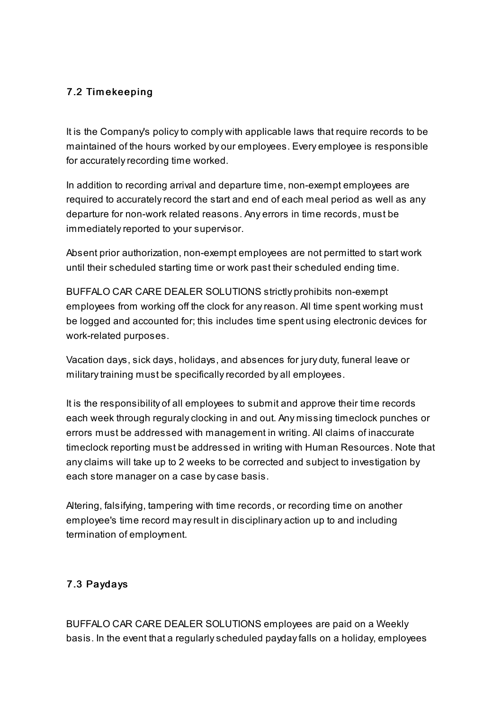#### 7.2 Tim ekeeping

It is the Company's policy to comply with applicable laws that require records to be maintained of the hours worked by our employees. Every employee is responsible for accurately recording time worked.

In addition to recording arrival and departure time, non-exempt employees are required to accurately record the start and end of each meal period as well as any departure for non-work related reasons. Any errors in time records, must be immediately reported to your supervisor.

Absent prior authorization, non-exempt employees are not permitted to start work until their scheduled starting time or work past their scheduled ending time.

BUFFALO CAR CARE DEALER SOLUTIONS strictly prohibits non-exempt employees from working off the clock for anyreason. All time spent working must be logged and accounted for; this includes time spent using electronic devices for work-related purposes.

Vacation days, sick days, holidays, and absences for jury duty, funeral leave or military training must be specifically recorded by all employees.

It is the responsibility of all employees to submit and approve their time records each week through reguraly clocking in and out. Any missing timeclock punches or errors must be addressed with management in writing. All claims of inaccurate timeclock reporting must be addressed in writing with Human Resources. Note that anyclaims will take up to 2 weeks to be corrected and subject to investigation by each store manager on a case bycase basis.

Altering, falsifying, tampering with time records, or recording time on another employee's time record mayresult in disciplinary action up to and including termination of employment.

#### 7.3 Paydays

BUFFALO CAR CARE DEALER SOLUTIONS employees are paid on a Weekly basis. In the event that a regularlyscheduled paydayfalls on a holiday, employees